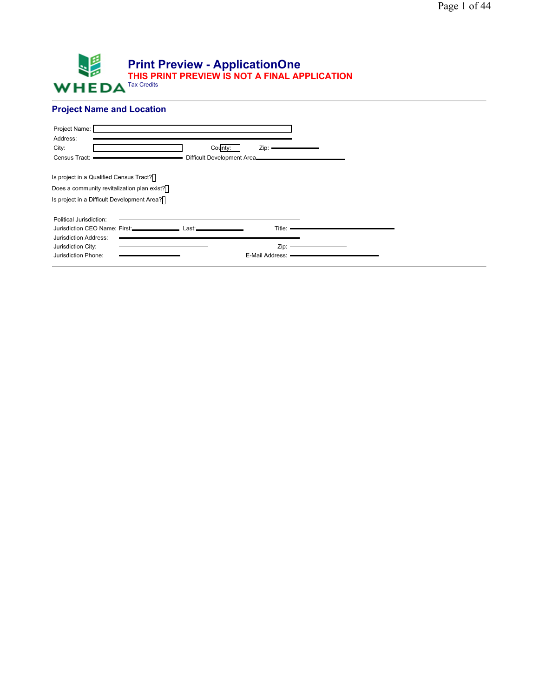

# **Project Name and Location**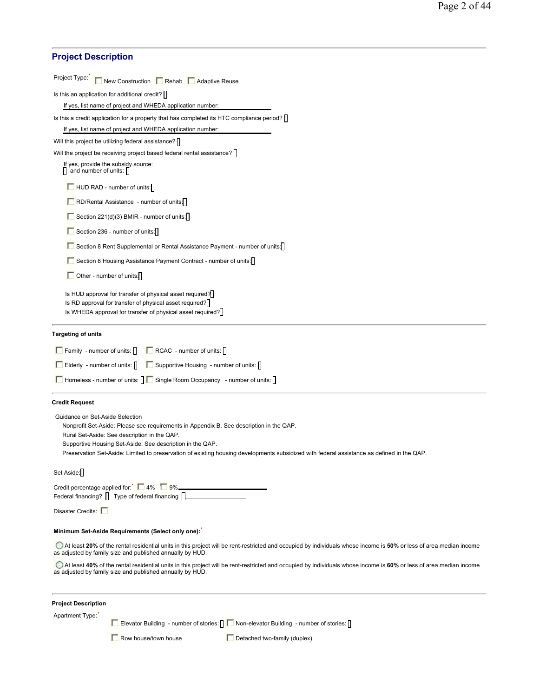| <b>Project Description</b>              |                                                                                                                                                                                                      |                                                                                                                                                                    |
|-----------------------------------------|------------------------------------------------------------------------------------------------------------------------------------------------------------------------------------------------------|--------------------------------------------------------------------------------------------------------------------------------------------------------------------|
| Project Type:                           | New Construction Rehab Adaptive Reuse                                                                                                                                                                |                                                                                                                                                                    |
|                                         | Is this an application for additional credit?                                                                                                                                                        |                                                                                                                                                                    |
|                                         | If yes, list name of project and WHEDA application number:                                                                                                                                           |                                                                                                                                                                    |
|                                         | Is this a credit application for a property that has completed its HTC compliance period?                                                                                                            |                                                                                                                                                                    |
|                                         | If yes, list name of project and WHEDA application number:                                                                                                                                           |                                                                                                                                                                    |
|                                         | Will this project be utilizing federal assistance?                                                                                                                                                   |                                                                                                                                                                    |
|                                         | Will the project be receiving project based federal rental assistance?                                                                                                                               |                                                                                                                                                                    |
| and number of units: [                  | If yes, provide the subsidy source:                                                                                                                                                                  |                                                                                                                                                                    |
|                                         | $\Box$ HUD RAD - number of units:                                                                                                                                                                    |                                                                                                                                                                    |
|                                         | RD/Rental Assistance - number of units:                                                                                                                                                              |                                                                                                                                                                    |
|                                         | Section 221(d)(3) BMIR - number of units:                                                                                                                                                            |                                                                                                                                                                    |
|                                         | Section 236 - number of units:                                                                                                                                                                       |                                                                                                                                                                    |
|                                         | Section 8 Rent Supplemental or Rental Assistance Payment - number of units:                                                                                                                          |                                                                                                                                                                    |
|                                         | Section 8 Housing Assistance Payment Contract - number of units:                                                                                                                                     |                                                                                                                                                                    |
|                                         | Other - number of units:                                                                                                                                                                             |                                                                                                                                                                    |
|                                         | Is HUD approval for transfer of physical asset required?<br>Is RD approval for transfer of physical asset required?<br>Is WHEDA approval for transfer of physical asset required?                    |                                                                                                                                                                    |
| <b>Targeting of units</b>               |                                                                                                                                                                                                      |                                                                                                                                                                    |
| $\Box$ Family - number of units: $\Box$ | $\Box$ RCAC - number of units: $\Box$                                                                                                                                                                |                                                                                                                                                                    |
|                                         | Elderly - number of units:       Supportive Housing - number of units:                                                                                                                               |                                                                                                                                                                    |
|                                         | □ Homeless - number of units: <b>I D</b> Single Room Occupancy - number of units: <b>I</b>                                                                                                           |                                                                                                                                                                    |
|                                         |                                                                                                                                                                                                      |                                                                                                                                                                    |
| <b>Credit Request</b>                   |                                                                                                                                                                                                      |                                                                                                                                                                    |
| Guidance on Set-Aside Selection         | Nonprofit Set-Aside: Please see requirements in Appendix B. See description in the QAP.<br>Rural Set-Aside: See description in the QAP.<br>Supportive Housing Set-Aside: See description in the QAP. | Preservation Set-Aside: Limited to preservation of existing housing developments subsidized with federal assistance as defined in the QAP.                         |
| Set Aside:                              |                                                                                                                                                                                                      |                                                                                                                                                                    |
|                                         | Credit percentage applied for: 14% 9% 20% 2008<br>Federal financing?   Type of federal financing   _______________________________                                                                   |                                                                                                                                                                    |
| Disaster Credits:                       |                                                                                                                                                                                                      |                                                                                                                                                                    |
|                                         | Minimum Set-Aside Requirements (Select only one):                                                                                                                                                    |                                                                                                                                                                    |
|                                         | as adjusted by family size and published annually by HUD.                                                                                                                                            | At least 20% of the rental residential units in this project will be rent-restricted and occupied by individuals whose income is 50% or less of area median income |
|                                         | as adjusted by family size and published annually by HUD.                                                                                                                                            | At least 40% of the rental residential units in this project will be rent-restricted and occupied by individuals whose income is 60% or less of area median income |
| <b>Project Description</b>              |                                                                                                                                                                                                      |                                                                                                                                                                    |
| Apartment Type:                         |                                                                                                                                                                                                      |                                                                                                                                                                    |
|                                         | Elevator Building - number of stories: $\prod$ Non-elevator Building - number of stories: $\prod$                                                                                                    |                                                                                                                                                                    |
|                                         | Row house/town house                                                                                                                                                                                 | Detached two-family (duplex)                                                                                                                                       |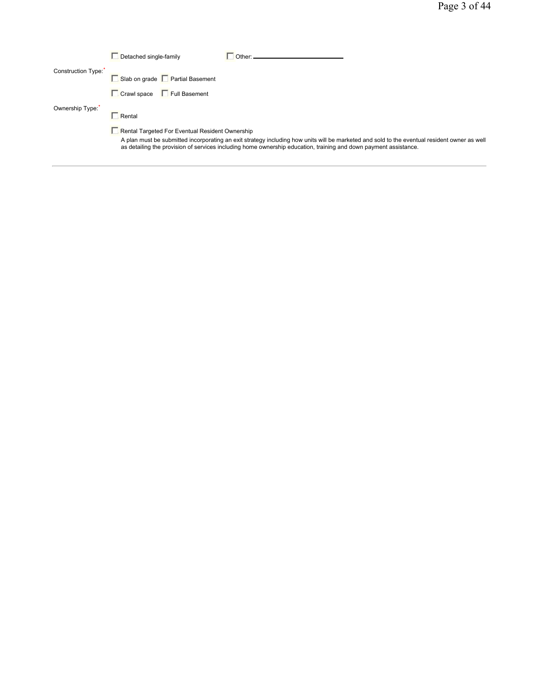|                    | Detached single-family                                 |                                                                                                                  |                                                                                                                                              |
|--------------------|--------------------------------------------------------|------------------------------------------------------------------------------------------------------------------|----------------------------------------------------------------------------------------------------------------------------------------------|
| Construction Type: | Slab on grade F Partial Basement                       |                                                                                                                  |                                                                                                                                              |
|                    | Crawl space Full Basement                              |                                                                                                                  |                                                                                                                                              |
| Ownership Type:    | Rental                                                 |                                                                                                                  |                                                                                                                                              |
|                    | <b>Rental Targeted For Eventual Resident Ownership</b> |                                                                                                                  |                                                                                                                                              |
|                    |                                                        | as detailing the provision of services including home ownership education, training and down payment assistance. | A plan must be submitted incorporating an exit strategy including how units will be marketed and sold to the eventual resident owner as well |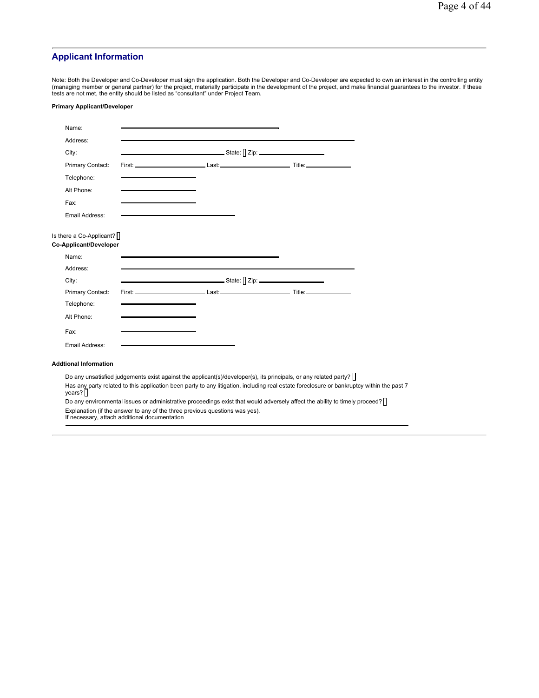# **Applicant Information**

Note: Both the Developer and Co-Developer must sign the application. Both the Developer and Co-Developer are expected to own an interest in the controlling entity<br>(managing member or general partner) for the project, mater

## **Primary Applicant/Developer**

| Name:                                                     |                                               |                                                                                                                                           |  |
|-----------------------------------------------------------|-----------------------------------------------|-------------------------------------------------------------------------------------------------------------------------------------------|--|
| Address:                                                  |                                               |                                                                                                                                           |  |
| City:                                                     |                                               |                                                                                                                                           |  |
| Primary Contact:                                          |                                               |                                                                                                                                           |  |
| Telephone:                                                |                                               |                                                                                                                                           |  |
| Alt Phone:                                                |                                               |                                                                                                                                           |  |
| Fax:                                                      |                                               |                                                                                                                                           |  |
| Email Address:                                            |                                               |                                                                                                                                           |  |
| Is there a Co-Applicant? $\Box$<br>Co-Applicant/Developer |                                               |                                                                                                                                           |  |
| Name:                                                     |                                               |                                                                                                                                           |  |
| Address:                                                  |                                               |                                                                                                                                           |  |
| City:                                                     |                                               |                                                                                                                                           |  |
| Primary Contact:                                          |                                               |                                                                                                                                           |  |
| Telephone:                                                |                                               |                                                                                                                                           |  |
| Alt Phone:                                                |                                               |                                                                                                                                           |  |
| Fax:                                                      |                                               |                                                                                                                                           |  |
| Email Address:                                            |                                               |                                                                                                                                           |  |
| <b>Addtional Information</b>                              |                                               |                                                                                                                                           |  |
|                                                           |                                               | Do any unsatisfied judgements exist against the applicant(s)/developer(s), its principals, or any related party?                          |  |
| years?                                                    |                                               | Has any party related to this application been party to any litigation, including real estate foreclosure or bankruptcy within the past 7 |  |
|                                                           |                                               | Do any environmental issues or administrative proceedings exist that would adversely affect the ability to timely proceed?                |  |
|                                                           | If necessary, attach additional documentation | Explanation (if the answer to any of the three previous questions was yes).                                                               |  |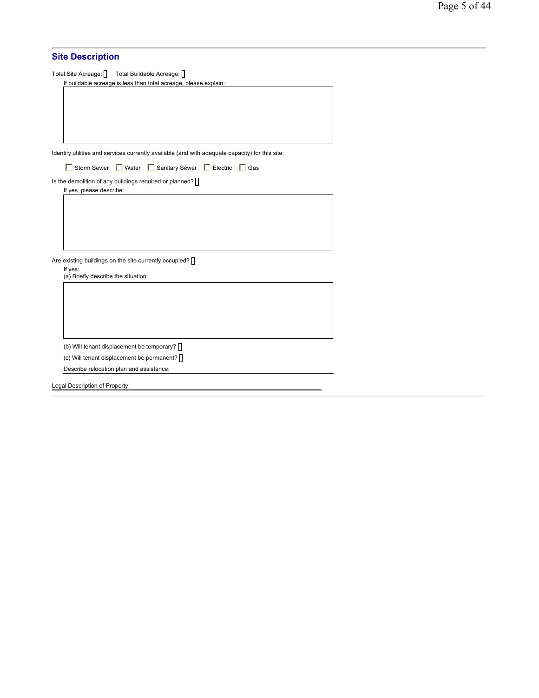## **Site Description**

Total Site Acreage: | Total Buildable Acreage: | If buildable acreage is less than total acreage, please explain:

Identify utilities and services currently available (and with adequate capacity) for this site:

Buttom Sewer Function Mater Function Sewer Function Gas

Is the demolition of any buildings required or planned?  $\Box$ 

If yes, please describe:

Are existing buildings on the site currently occupied?  $\prod$ 

If yes: (a) Briefly describe the situation:

(b) Will tenant displacement be temporary?  $\prod$ 

(c) Will tenant displacement be permanent?

Describe relocation plan and assistance:

Legal Description of Property: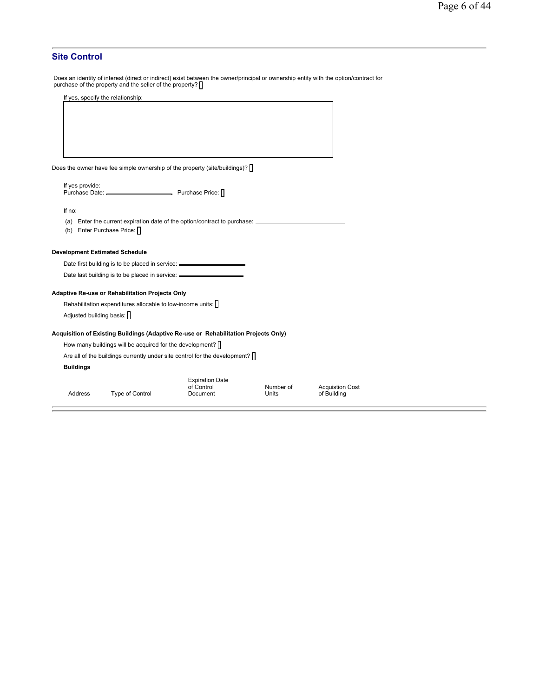## **Site Control**

Does an identity of interest (direct or indirect) exist between the owner/principal or ownership entity with the option/contract for<br>purchase of the property and the seller of the property? []

| If yes, specify the relationship:                                                 |                 |
|-----------------------------------------------------------------------------------|-----------------|
| Does the owner have fee simple ownership of the property (site/buildings)? $\Box$ |                 |
| If yes provide:<br>Purchase Date: ___________                                     | Purchase Price: |
| If no:                                                                            |                 |

(a) Enter the current expiration date of the option/contract to purchase:

(b) Enter Purchase Price:

## **Development Estimated Schedule**

Date first building is to be placed in service:

Date last building is to be placed in service:

#### **Adaptive Re-use or Rehabilitation Projects Only**

Rehabilitation expenditures allocable to low-income units:  $[]$ Adjusted building basis:

## **Acquisition of Existing Buildings (Adaptive Re-use or Rehabilitation Projects Only)**

How many buildings will be acquired for the development?  $\square$ 

Are all of the buildings currently under site control for the development?  $\Box$ 

#### **Buildings**

|         |                 | <b>Expiration Date</b> |           |                        |
|---------|-----------------|------------------------|-----------|------------------------|
|         |                 | of Control             | Number of | <b>Acquistion Cost</b> |
| Address | Type of Control | Document               | Units     | of Building            |
|         |                 |                        |           |                        |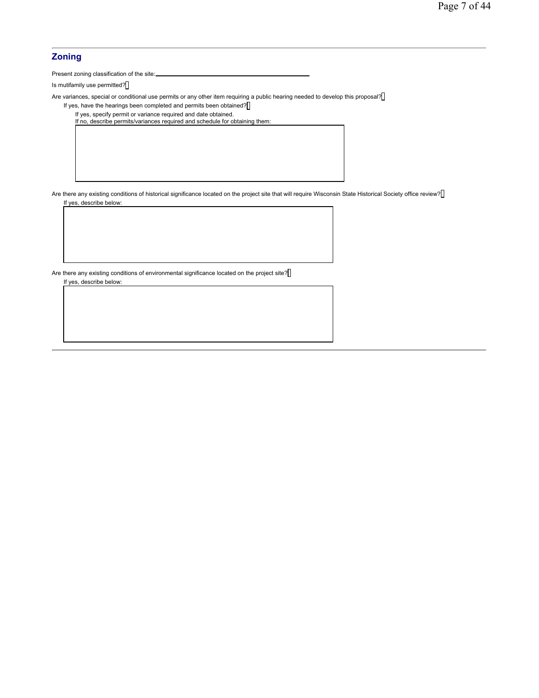## **Zoning**

Present zoning classification of the site:

Is mutifamily use permitted?

Are variances, special or conditional use permits or any other item requiring a public hearing needed to develop this proposal?

If yes, have the hearings been completed and permits been obtained?

If yes, specify permit or variance required and date obtained. If no, describe permits/variances required and schedule for obtaining them:

Are there any existing conditions of historical significance located on the project site that will require Wisconsin State Historical Society office review? If yes, describe below:

Are there any existing conditions of environmental significance located on the project site? If yes, describe below: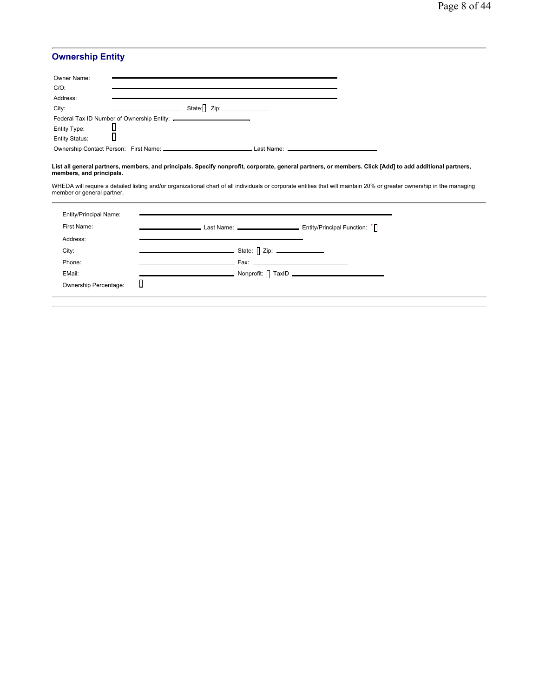# **Ownership Entity**

| Owner Name:                    |  |            |
|--------------------------------|--|------------|
| $C/O$ :                        |  |            |
| Address:                       |  |            |
| City:                          |  |            |
|                                |  |            |
|                                |  |            |
| Entity Type:<br>Entity Status: |  |            |
|                                |  | Last Name: |

# **List all general partners, members, and principals. Specify nonprofit, corporate, general partners, or members. Click [Add] to add additional partners, members, and principals.**

WHEDA will require a detailed listing and/or organizational chart of all individuals or corporate entities that will maintain 20% or greater ownership in the managing member or general partner.

| <b>Entity/Principal Name:</b> |   |                                                                           |
|-------------------------------|---|---------------------------------------------------------------------------|
| First Name:                   |   | Last Name: _________________________________ Entity/Principal Function: 1 |
| Address:                      |   |                                                                           |
| City:                         |   |                                                                           |
| Phone:                        |   |                                                                           |
| EMail:                        |   |                                                                           |
| Ownership Percentage:         | Ш |                                                                           |
|                               |   |                                                                           |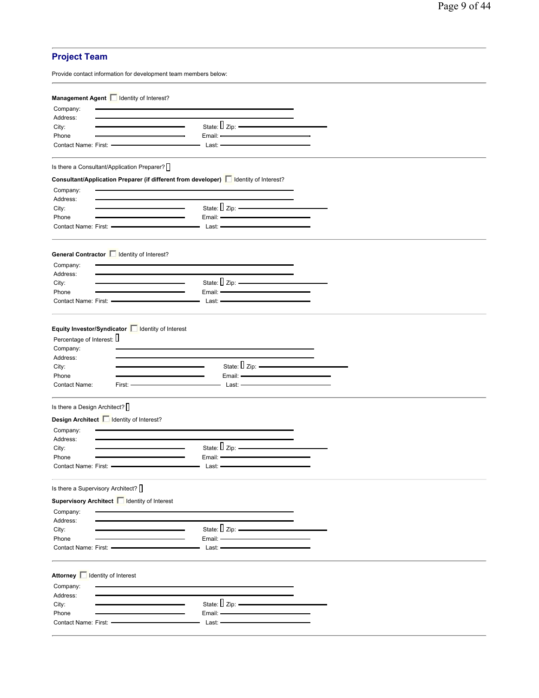# **Project Team**

|                                                                                      | Provide contact information for development team members below: |                                                                                                                                                                                                                                                 |  |
|--------------------------------------------------------------------------------------|-----------------------------------------------------------------|-------------------------------------------------------------------------------------------------------------------------------------------------------------------------------------------------------------------------------------------------|--|
|                                                                                      |                                                                 |                                                                                                                                                                                                                                                 |  |
|                                                                                      | Management Agent   Identity of Interest?                        |                                                                                                                                                                                                                                                 |  |
| Company:<br>Address:                                                                 |                                                                 |                                                                                                                                                                                                                                                 |  |
| City:                                                                                |                                                                 | State: $\Box$ Zip: $\frac{1}{2}$                                                                                                                                                                                                                |  |
| Phone                                                                                |                                                                 |                                                                                                                                                                                                                                                 |  |
| Contact Name: First: -                                                               |                                                                 | Last: -                                                                                                                                                                                                                                         |  |
|                                                                                      | Is there a Consultant/Application Preparer? $\bigcap$           |                                                                                                                                                                                                                                                 |  |
|                                                                                      |                                                                 | Consultant/Application Preparer (if different from developer)   Identity of Interest?                                                                                                                                                           |  |
| Company:                                                                             |                                                                 |                                                                                                                                                                                                                                                 |  |
| Address:                                                                             |                                                                 |                                                                                                                                                                                                                                                 |  |
| City:                                                                                |                                                                 | State: $\sqrt{2}$ Zip: $\frac{2}{\sqrt{2}}$                                                                                                                                                                                                     |  |
| Phone                                                                                |                                                                 | Email: -                                                                                                                                                                                                                                        |  |
|                                                                                      |                                                                 | <u> 1980 - Johann Johann Johann Johann Johann Johann Johann Johann Johann Johann Johann Johann Johann Johann Johann Johann Johann Johann Johann Johann Johann Johann Johann Johann Johann Johann Johann Johann Johann Johann Joh</u><br>Last: - |  |
|                                                                                      |                                                                 |                                                                                                                                                                                                                                                 |  |
|                                                                                      | General Contractor   Identity of Interest?                      |                                                                                                                                                                                                                                                 |  |
| Company:                                                                             |                                                                 |                                                                                                                                                                                                                                                 |  |
| Address:<br>City:                                                                    |                                                                 | State: $\sqrt{2}$ Zip: $\frac{2}{\sqrt{2}}$                                                                                                                                                                                                     |  |
| Phone                                                                                |                                                                 |                                                                                                                                                                                                                                                 |  |
|                                                                                      | Contact Name: First: ---------------                            |                                                                                                                                                                                                                                                 |  |
|                                                                                      |                                                                 |                                                                                                                                                                                                                                                 |  |
| Percentage of Interest: U<br>Company:<br>Address:<br>City:<br>Phone<br>Contact Name: | Equity Investor/Syndicator   Identity of Interest<br>$First: -$ | State: $\Box$ Zip: $\frac{1}{\Box}$<br>Email: -<br>Last: -                                                                                                                                                                                      |  |
| Is there a Design Architect? $\Box$                                                  |                                                                 |                                                                                                                                                                                                                                                 |  |
|                                                                                      | Design Architect   Identity of Interest?                        |                                                                                                                                                                                                                                                 |  |
| Company:                                                                             |                                                                 |                                                                                                                                                                                                                                                 |  |
| Address:                                                                             |                                                                 |                                                                                                                                                                                                                                                 |  |
| City:                                                                                |                                                                 | State: $\Box$ Zip: $\frac{\Box}{\Box}$                                                                                                                                                                                                          |  |
| Phone                                                                                |                                                                 | Email:                                                                                                                                                                                                                                          |  |
| Contact Name: First:                                                                 |                                                                 | Last:                                                                                                                                                                                                                                           |  |
|                                                                                      | Is there a Supervisory Architect? $\prod$                       |                                                                                                                                                                                                                                                 |  |
|                                                                                      | Supervisory Architect   Identity of Interest                    |                                                                                                                                                                                                                                                 |  |
| Company:                                                                             |                                                                 |                                                                                                                                                                                                                                                 |  |
| Address:                                                                             |                                                                 |                                                                                                                                                                                                                                                 |  |
| City:                                                                                |                                                                 | State: $\Box$ Zip: $\frac{1}{2}$ Zip: $\frac{1}{2}$<br><u> 1980 - Johann Barbara, martxa alemaniar a</u>                                                                                                                                        |  |
| Phone                                                                                |                                                                 | Email: -<br>Last: <b>-</b>                                                                                                                                                                                                                      |  |
| Contact Name: First:                                                                 |                                                                 |                                                                                                                                                                                                                                                 |  |
| Company:                                                                             | Attorney   dentity of Interest                                  |                                                                                                                                                                                                                                                 |  |
| Address:                                                                             |                                                                 |                                                                                                                                                                                                                                                 |  |
| City:                                                                                |                                                                 | State: $\Box$ Zip:<br><u> 1980 - Johann Barn, amerikansk politiker (</u>                                                                                                                                                                        |  |
| Phone                                                                                |                                                                 | Email: -<br>Last: —                                                                                                                                                                                                                             |  |
|                                                                                      |                                                                 |                                                                                                                                                                                                                                                 |  |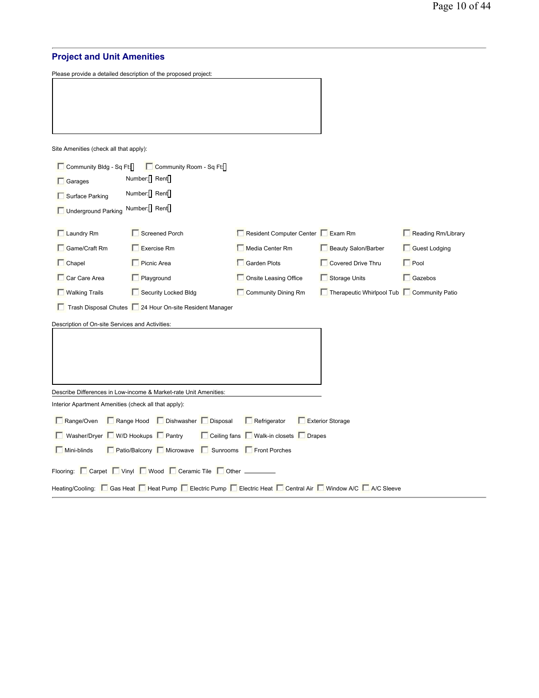# **Project and Unit Amenities**

Please provide a detailed description of the proposed project:

Site Amenities (check all that apply):

| Community Bldg - Sq Ft:                       |                                                                  | Community Room - Sq Ft: |                                                                                                                 |                                           |                    |  |  |  |
|-----------------------------------------------|------------------------------------------------------------------|-------------------------|-----------------------------------------------------------------------------------------------------------------|-------------------------------------------|--------------------|--|--|--|
| $\Box$ Garages                                | Number: Rent                                                     |                         |                                                                                                                 |                                           |                    |  |  |  |
| Surface Parking                               | Number: Rent                                                     |                         |                                                                                                                 |                                           |                    |  |  |  |
| Underground Parking                           | Number: Rent                                                     |                         |                                                                                                                 |                                           |                    |  |  |  |
| $\Box$ Laundry Rm                             | Screened Porch                                                   |                         | Resident Computer Center FExam Rm                                                                               |                                           | Reading Rm/Library |  |  |  |
| $\Box$ Game/Craft Rm                          | Exercise Rm                                                      |                         | Media Center Rm                                                                                                 | <b>Beauty Salon/Barber</b>                | Guest Lodging      |  |  |  |
| $\Box$ Chapel                                 | <b>Picnic Area</b>                                               |                         | Garden Plots                                                                                                    | Covered Drive Thru                        | $\Gamma$ Pool      |  |  |  |
| Car Care Area                                 | Playground                                                       |                         | Onsite Leasing Office                                                                                           | Storage Units                             | $\Box$ Gazebos     |  |  |  |
| <b>Nalking Trails</b><br>Security Locked Bldg |                                                                  |                         | Community Dining Rm                                                                                             | Therapeutic Whirlpool Tub Community Patio |                    |  |  |  |
|                                               | Trash Disposal Chutes   24 Hour On-site Resident Manager         |                         |                                                                                                                 |                                           |                    |  |  |  |
|                                               | Description of On-site Services and Activities:                  |                         |                                                                                                                 |                                           |                    |  |  |  |
|                                               |                                                                  |                         |                                                                                                                 |                                           |                    |  |  |  |
|                                               |                                                                  |                         |                                                                                                                 |                                           |                    |  |  |  |
|                                               |                                                                  |                         |                                                                                                                 |                                           |                    |  |  |  |
|                                               |                                                                  |                         |                                                                                                                 |                                           |                    |  |  |  |
|                                               | Describe Differences in Low-income & Market-rate Unit Amenities: |                         |                                                                                                                 |                                           |                    |  |  |  |
|                                               | Interior Apartment Amenities (check all that apply):             |                         |                                                                                                                 |                                           |                    |  |  |  |
| Range/Oven                                    | Range Hood Dishwasher Disposal                                   |                         | $\Box$ Refrigerator                                                                                             | Exterior Storage                          |                    |  |  |  |
|                                               | ■ Washer/Dryer ■ W/D Hookups ■ Pantry                            |                         | □ Ceiling fans ■ Walk-in closets ■ Drapes                                                                       |                                           |                    |  |  |  |
| $\Box$ Mini-blinds                            |                                                                  |                         | □ Patio/Balcony □ Microwave □ Sunrooms □ Front Porches                                                          |                                           |                    |  |  |  |
|                                               | Flooring: Carpet Vinyl Vivood Ceramic Tile Other ______          |                         |                                                                                                                 |                                           |                    |  |  |  |
|                                               |                                                                  |                         | Heating/Cooling: □ Gas Heat □ Heat Pump □ Electric Pump □ Electric Heat □ Central Air □ Window A/C □ A/C Sleeve |                                           |                    |  |  |  |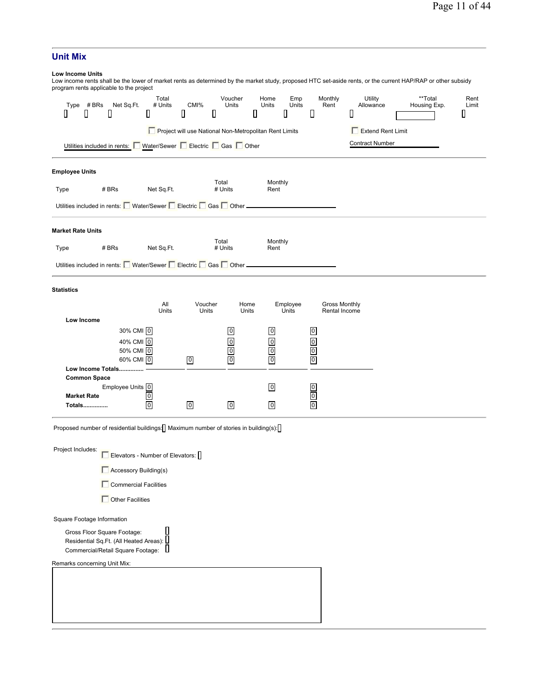# **Unit Mix**

# **Low Income Units**

| -טאזווט טוווטט               |                     | program rents applicable to the project                                                                      |                       |                  |                                                        |                                    |                   |                                                    |                                       |   |                        | Low income rents shall be the lower of market rents as determined by the market study, proposed HTC set-aside rents, or the current HAP/RAP or other subsidy |                    |
|------------------------------|---------------------|--------------------------------------------------------------------------------------------------------------|-----------------------|------------------|--------------------------------------------------------|------------------------------------|-------------------|----------------------------------------------------|---------------------------------------|---|------------------------|--------------------------------------------------------------------------------------------------------------------------------------------------------------|--------------------|
| Type<br>Ш                    | # BRs<br>Ш          | Net Sq.Ft.<br>D                                                                                              | Total<br># Units<br>Ш | CMI%<br>Д        | Voucher<br>Units<br>O                                  | Home<br>Units<br>О                 | Emp<br>Units<br>Ш | Ц                                                  | Monthly<br>Rent                       | Ⅱ | Utility<br>Allowance   | **Total<br>Housing Exp.                                                                                                                                      | Rent<br>Limit<br>Ш |
|                              |                     |                                                                                                              |                       |                  | Project will use National Non-Metropolitan Rent Limits |                                    |                   |                                                    |                                       |   | Extend Rent Limit      |                                                                                                                                                              |                    |
|                              |                     | Utilities included in rents: Water/Sewer FEIectric FGas FOther                                               |                       |                  |                                                        |                                    |                   |                                                    |                                       |   | <b>Contract Number</b> |                                                                                                                                                              |                    |
| <b>Employee Units</b>        |                     |                                                                                                              |                       |                  |                                                        |                                    |                   |                                                    |                                       |   |                        |                                                                                                                                                              |                    |
| Type                         |                     | # BRs                                                                                                        | Net Sq.Ft.            |                  | Total<br># Units                                       | Monthly<br>Rent                    |                   |                                                    |                                       |   |                        |                                                                                                                                                              |                    |
|                              |                     | Utilities included in rents: Mater/Sewer Electric Gas Cother _                                               |                       |                  |                                                        |                                    |                   |                                                    |                                       |   |                        |                                                                                                                                                              |                    |
| <b>Market Rate Units</b>     |                     |                                                                                                              |                       |                  |                                                        |                                    |                   |                                                    |                                       |   |                        |                                                                                                                                                              |                    |
| Type                         |                     | # BRs                                                                                                        | Net Sq.Ft.            |                  | Total<br># Units                                       | Monthly<br>Rent                    |                   |                                                    |                                       |   |                        |                                                                                                                                                              |                    |
|                              |                     | Utilities included in rents: Water/Sewer Electric Gas Cother _                                               |                       |                  |                                                        |                                    |                   |                                                    |                                       |   |                        |                                                                                                                                                              |                    |
| Statistics                   |                     |                                                                                                              |                       |                  |                                                        |                                    |                   |                                                    |                                       |   |                        |                                                                                                                                                              |                    |
|                              | Low Income          |                                                                                                              | All<br>Units          | Voucher<br>Units |                                                        | Home<br>Units                      | Employee<br>Units |                                                    | <b>Gross Monthly</b><br>Rental Income |   |                        |                                                                                                                                                              |                    |
|                              |                     | 30% CMI 0                                                                                                    |                       |                  | $\boldsymbol{0}$                                       | $\boldsymbol{0}$                   |                   | $\overline{0}$                                     |                                       |   |                        |                                                                                                                                                              |                    |
|                              |                     | 40% CMI 0                                                                                                    |                       |                  | $\overline{0}$                                         | $\overline{0}$                     |                   | $\overline{0}$                                     |                                       |   |                        |                                                                                                                                                              |                    |
|                              |                     | 50% CMI 0<br>60% CMI 0                                                                                       |                       | $\overline{0}$   | $\boldsymbol{0}$<br>$\overline{0}$                     | $\overline{0}$<br>$\boldsymbol{0}$ |                   | $\overline{\mathbf{0}}$<br>$\overline{\mathbf{0}}$ |                                       |   |                        |                                                                                                                                                              |                    |
|                              |                     | Low Income Totals                                                                                            |                       |                  |                                                        |                                    |                   |                                                    |                                       |   |                        |                                                                                                                                                              |                    |
|                              | <b>Common Space</b> |                                                                                                              |                       |                  |                                                        |                                    |                   |                                                    |                                       |   |                        |                                                                                                                                                              |                    |
|                              | <b>Market Rate</b>  | Employee Units 0                                                                                             | $\overline{0}$        |                  |                                                        | $\overline{0}$                     |                   | $\frac{0}{0}$                                      |                                       |   |                        |                                                                                                                                                              |                    |
|                              | <b>Totals</b>       |                                                                                                              | $\overline{0}$        | $\boldsymbol{0}$ | $\mathbf 0$                                            | $\overline{0}$                     |                   | $\overline{0}$                                     |                                       |   |                        |                                                                                                                                                              |                    |
|                              |                     | Proposed number of residential buildings: Maximum number of stories in building(s):                          |                       |                  |                                                        |                                    |                   |                                                    |                                       |   |                        |                                                                                                                                                              |                    |
| Project Includes:            |                     | Elevators - Number of Elevators: $\bigcap$                                                                   |                       |                  |                                                        |                                    |                   |                                                    |                                       |   |                        |                                                                                                                                                              |                    |
|                              |                     | Accessory Building(s)                                                                                        |                       |                  |                                                        |                                    |                   |                                                    |                                       |   |                        |                                                                                                                                                              |                    |
|                              |                     | Commercial Facilities                                                                                        |                       |                  |                                                        |                                    |                   |                                                    |                                       |   |                        |                                                                                                                                                              |                    |
|                              |                     | Other Facilities                                                                                             |                       |                  |                                                        |                                    |                   |                                                    |                                       |   |                        |                                                                                                                                                              |                    |
| Square Footage Information   |                     |                                                                                                              |                       |                  |                                                        |                                    |                   |                                                    |                                       |   |                        |                                                                                                                                                              |                    |
|                              |                     | Gross Floor Square Footage:<br>Residential Sq.Ft. (All Heated Areas): L<br>Commercial/Retail Square Footage: | Ш                     |                  |                                                        |                                    |                   |                                                    |                                       |   |                        |                                                                                                                                                              |                    |
| Remarks concerning Unit Mix: |                     |                                                                                                              |                       |                  |                                                        |                                    |                   |                                                    |                                       |   |                        |                                                                                                                                                              |                    |
|                              |                     |                                                                                                              |                       |                  |                                                        |                                    |                   |                                                    |                                       |   |                        |                                                                                                                                                              |                    |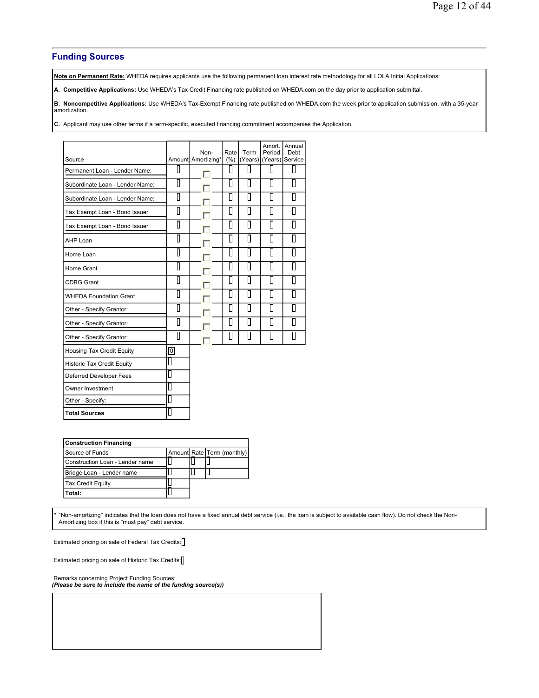## **Funding Sources**

**Note on Permanent Rate:** WHEDA requires applicants use the following permanent loan interest rate methodology for all LOLA Initial Applications:

**A. Competitive Applications:** Use WHEDA's Tax Credit Financing rate published on WHEDA.com on the day prior to application submittal.

**B. Noncompetitive Applications:** Use WHEDA's Tax-Exempt Financing rate published on WHEDA.com the week prior to application submission, with a 35-year amortization.

**C.** Applicant may use other terms if a term-specific, executed financing commitment accompanies the Application.

| Source                            |                | Non-<br>Amount Amortizing* | Rate<br>(% )      | Term<br>(Years) | Amort.<br>Period<br>(Years) | Annual<br>Debt<br>Service |
|-----------------------------------|----------------|----------------------------|-------------------|-----------------|-----------------------------|---------------------------|
| Permanent Loan - Lender Name:     | L              |                            | ll                | Ш               | О                           | П                         |
| Subordinate Loan - Lender Name:   | $\Box$         |                            | $\overline{\Box}$ | П               | П                           | П                         |
| Subordinate Loan - Lender Name:   | Π              |                            | П                 | П               | П                           | П                         |
| Tax Exempt Loan - Bond Issuer     | П              |                            | П                 | П               | П                           | П                         |
| Tax Exempt Loan - Bond Issuer     | П              |                            | П                 | П               | П                           | Ш                         |
| <b>AHP Loan</b>                   | П              |                            | Π                 | П               | П                           | П                         |
| Home Loan                         | Π              |                            | Ο                 | П               | П                           | H                         |
| Home Grant                        | П              |                            | Π                 | П               | П                           | П                         |
| <b>CDBG Grant</b>                 | П              |                            | П                 | П               | П                           | H                         |
| <b>WHEDA Foundation Grant</b>     | П              |                            | $\Box$            | Π               | П                           | П                         |
| Other - Specify Grantor:          | П              |                            | Π                 | П               | П                           | П                         |
| Other - Specify Grantor:          | П              |                            | П                 | П               | П                           | H                         |
| Other - Specify Grantor:          | П              |                            | П                 | П               | П                           | H                         |
| Housing Tax Credit Equity         | $\overline{0}$ |                            |                   |                 |                             |                           |
| <b>Historic Tax Credit Equity</b> | L              |                            |                   |                 |                             |                           |
| <b>Deferred Developer Fees</b>    | Ш              |                            |                   |                 |                             |                           |
| Owner Investment                  |                |                            |                   |                 |                             |                           |
| Other - Specify:                  |                |                            |                   |                 |                             |                           |
| <b>Total Sources</b>              |                |                            |                   |                 |                             |                           |

| <b>Construction Financing</b>   |  |  |                            |  |  |  |
|---------------------------------|--|--|----------------------------|--|--|--|
| Source of Funds                 |  |  | Amount Rate Term (monthly) |  |  |  |
| Construction Loan - Lender name |  |  |                            |  |  |  |
| Bridge Loan - Lender name       |  |  |                            |  |  |  |
| <b>Tax Credit Equity</b>        |  |  |                            |  |  |  |
| Total:                          |  |  |                            |  |  |  |

\* "Non-amortizing" indicates that the loan does not have a fixed annual debt service (i.e., the loan is subject to available cash flow). Do not check the Non-Amortizing box if this is "must pay" debt service.

Estimated pricing on sale of Federal Tax Credits:

Estimated pricing on sale of Historic Tax Credits:

Remarks concerning Project Funding Sources: *(Please be sure to include the name of the funding source(s))*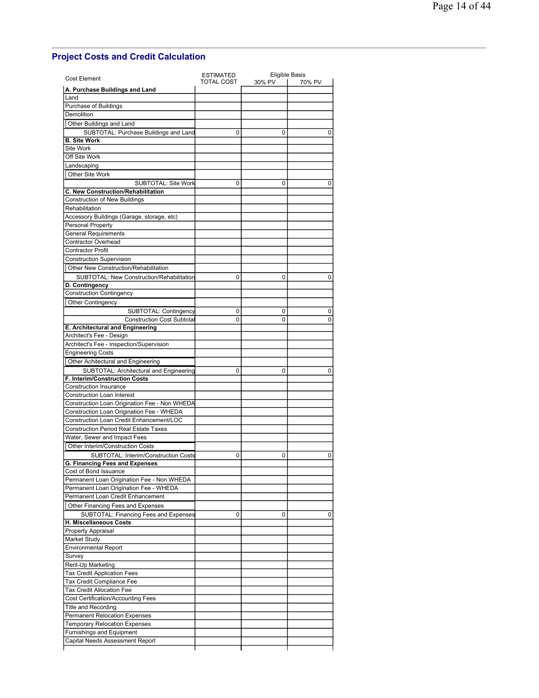# **Project Costs and Credit Calculation**

| <b>Cost Element</b>                                                                                         | <b>ESTIMATED</b> |        | <b>Eligible Basis</b> |  |  |
|-------------------------------------------------------------------------------------------------------------|------------------|--------|-----------------------|--|--|
| A. Purchase Buildings and Land                                                                              | TOTAL COST       | 30% PV | 70% PV                |  |  |
| Land                                                                                                        |                  |        |                       |  |  |
| Purchase of Buildings                                                                                       |                  |        |                       |  |  |
| <b>Demolition</b>                                                                                           |                  |        |                       |  |  |
| Other Buildings and Land                                                                                    |                  |        |                       |  |  |
| SUBTOTAL: Purchase Buildings and Land                                                                       | 0                | 0      | 0                     |  |  |
| <b>B. Site Work</b>                                                                                         |                  |        |                       |  |  |
| Site Work                                                                                                   |                  |        |                       |  |  |
| Off Site Work                                                                                               |                  |        |                       |  |  |
| Landscaping                                                                                                 |                  |        |                       |  |  |
| Other Site Work                                                                                             |                  |        |                       |  |  |
| <b>SUBTOTAL: Site Work</b>                                                                                  | $\Omega$         | 0      | 0                     |  |  |
| C. New Construction/Rehabilitation                                                                          |                  |        |                       |  |  |
| <b>Construction of New Buildings</b>                                                                        |                  |        |                       |  |  |
| Rehabilitation                                                                                              |                  |        |                       |  |  |
| Accessory Buildings (Garage, storage, etc)                                                                  |                  |        |                       |  |  |
| Personal Property                                                                                           |                  |        |                       |  |  |
| <b>General Requirements</b>                                                                                 |                  |        |                       |  |  |
| Contractor Overhead                                                                                         |                  |        |                       |  |  |
| <b>Contractor Profit</b>                                                                                    |                  |        |                       |  |  |
| <b>Construction Supervision</b>                                                                             |                  |        |                       |  |  |
| Other New Construction/Rehabilitation                                                                       |                  |        |                       |  |  |
| SUBTOTAL: New Construction/Rehabilitation                                                                   | 0                | 0      | 0                     |  |  |
| D. Contingency                                                                                              |                  |        |                       |  |  |
| Construction Contingency                                                                                    |                  |        |                       |  |  |
| <b>Other Contingency</b>                                                                                    |                  |        |                       |  |  |
| SUBTOTAL: Contingency                                                                                       | 0                | 0      | 0                     |  |  |
| <b>Construction Cost Subtotal</b>                                                                           | 0                | 0      | 0                     |  |  |
| E. Architectural and Engineering                                                                            |                  |        |                       |  |  |
| Architect's Fee - Design                                                                                    |                  |        |                       |  |  |
| Architect's Fee - Inspection/Supervision                                                                    |                  |        |                       |  |  |
| <b>Engineering Costs</b>                                                                                    |                  |        |                       |  |  |
| Other Achitectural and Engineering                                                                          |                  |        |                       |  |  |
| SUBTOTAL: Architectural and Engineering                                                                     | 0                | 0      | 0                     |  |  |
| F. Interim/Construction Costs                                                                               |                  |        |                       |  |  |
| <b>Construction Insurance</b><br><b>Construction Loan Interest</b>                                          |                  |        |                       |  |  |
| Construction Loan Origination Fee - Non WHEDA                                                               |                  |        |                       |  |  |
| Construction Loan Origination Fee - WHEDA                                                                   |                  |        |                       |  |  |
| Construction Loan Credit Enhancement/LOC                                                                    |                  |        |                       |  |  |
| <b>Construction Period Real Estate Taxes</b>                                                                |                  |        |                       |  |  |
| Water, Sewer and Impact Fees                                                                                |                  |        |                       |  |  |
|                                                                                                             |                  |        |                       |  |  |
| Other Interim/Construction Costs<br>SUBTOTAL: Interim/Construction Costs                                    | 0                |        | 0                     |  |  |
| G. Financing Fees and Expenses                                                                              |                  | 0      |                       |  |  |
| Cost of Bond Issuance                                                                                       |                  |        |                       |  |  |
| Permanent Loan Origination Fee - Non WHEDA                                                                  |                  |        |                       |  |  |
| Permanent Loan Origination Fee - WHEDA                                                                      |                  |        |                       |  |  |
| Permanent Loan Credit Enhancement                                                                           |                  |        |                       |  |  |
| Other Financing Fees and Expenses                                                                           |                  |        |                       |  |  |
| SUBTOTAL: Financing Fees and Expenses                                                                       | 0                | 0      | 0                     |  |  |
| H. Miscellaneous Costs                                                                                      |                  |        |                       |  |  |
| Property Appraisal                                                                                          |                  |        |                       |  |  |
| Market Study                                                                                                |                  |        |                       |  |  |
| <b>Environmental Report</b>                                                                                 |                  |        |                       |  |  |
| Survey                                                                                                      |                  |        |                       |  |  |
| Rent-Up Marketing                                                                                           |                  |        |                       |  |  |
| <b>Tax Credit Application Fees</b>                                                                          |                  |        |                       |  |  |
| Tax Credit Compliance Fee                                                                                   |                  |        |                       |  |  |
|                                                                                                             |                  |        |                       |  |  |
|                                                                                                             |                  |        |                       |  |  |
|                                                                                                             |                  |        |                       |  |  |
| <b>Tax Credit Allocation Fee</b><br><b>Cost Certification/Accounting Fees</b><br><b>Title and Recording</b> |                  |        |                       |  |  |
|                                                                                                             |                  |        |                       |  |  |
| <b>Permanent Relocation Expenses</b>                                                                        |                  |        |                       |  |  |
| <b>Temporary Relocation Expenses</b><br>Furnishings and Equipment                                           |                  |        |                       |  |  |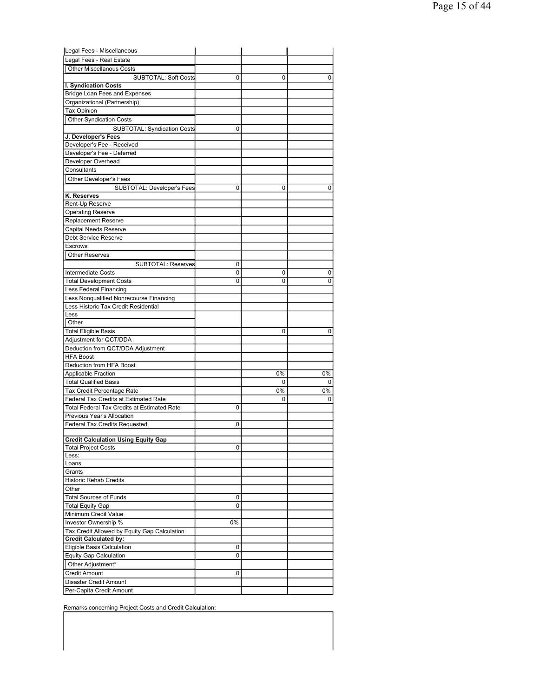| Legal Fees - Miscellaneous                                        |    |    |    |
|-------------------------------------------------------------------|----|----|----|
| Legal Fees - Real Estate                                          |    |    |    |
| <b>Other Miscellanous Costs</b>                                   |    |    |    |
| <b>SUBTOTAL: Soft Costs</b>                                       | 0  | 0  | 0  |
| I. Syndication Costs                                              |    |    |    |
| <b>Bridge Loan Fees and Expenses</b>                              |    |    |    |
| Organizational (Partnership)                                      |    |    |    |
| <b>Tax Opinion</b>                                                |    |    |    |
| <b>Other Syndication Costs</b>                                    |    |    |    |
|                                                                   |    |    |    |
| SUBTOTAL: Syndication Costs                                       | 0  |    |    |
| J. Developer's Fees<br>Developer's Fee - Received                 |    |    |    |
|                                                                   |    |    |    |
| Developer's Fee - Deferred                                        |    |    |    |
| Developer Overhead                                                |    |    |    |
| Consultants                                                       |    |    |    |
| Other Developer's Fees                                            |    |    |    |
| <b>SUBTOTAL: Developer's Fees</b>                                 | 0  | 0  | 0  |
| K. Reserves                                                       |    |    |    |
| Rent-Up Reserve                                                   |    |    |    |
| Operating Reserve                                                 |    |    |    |
| <b>Replacement Reserve</b>                                        |    |    |    |
| Capital Needs Reserve                                             |    |    |    |
| Debt Service Reserve                                              |    |    |    |
| <b>Escrows</b>                                                    |    |    |    |
| <b>Other Reserves</b>                                             |    |    |    |
| <b>SUBTOTAL: Reserves</b>                                         | 0  |    |    |
| <b>Intermediate Costs</b>                                         | 0  | 0  | 0  |
| <b>Total Development Costs</b>                                    | 0  | 0  | 0  |
|                                                                   |    |    |    |
| Less Federal Financing<br>Less Nonqualified Nonrecourse Financing |    |    |    |
| Less Historic Tax Credit Residential                              |    |    |    |
|                                                                   |    |    |    |
| Less<br>Other                                                     |    |    |    |
|                                                                   |    |    |    |
| <b>Total Eligible Basis</b>                                       |    | 0  | 0  |
| Adjustment for QCT/DDA                                            |    |    |    |
| Deduction from QCT/DDA Adjustment                                 |    |    |    |
| <b>HFA Boost</b>                                                  |    |    |    |
| Deduction from HFA Boost                                          |    |    |    |
| <b>Applicable Fraction</b>                                        |    | 0% | 0% |
| <b>Total Qualified Basis</b>                                      |    | 0  | 0  |
| Tax Credit Percentage Rate                                        |    | 0% | 0% |
| Federal Tax Credits at Estimated Rate                             |    | 0  | 0  |
| Total Federal Tax Credits at Estimated Rate                       | 0  |    |    |
| Previous Year's Allocation                                        |    |    |    |
| <b>Federal Tax Credits Requested</b>                              | 0  |    |    |
|                                                                   |    |    |    |
| <b>Credit Calculation Using Equity Gap</b>                        |    |    |    |
| <b>Total Project Costs</b>                                        | 0  |    |    |
| Less:                                                             |    |    |    |
| Loans                                                             |    |    |    |
| Grants                                                            |    |    |    |
| <b>Historic Rehab Credits</b>                                     |    |    |    |
| Other                                                             |    |    |    |
| <b>Total Sources of Funds</b>                                     | 0  |    |    |
| <b>Total Equity Gap</b>                                           | 0  |    |    |
| Minimum Credit Value                                              |    |    |    |
| Investor Ownership %                                              | 0% |    |    |
| Tax Credit Allowed by Equity Gap Calculation                      |    |    |    |
| <b>Credit Calculated by:</b>                                      |    |    |    |
| Eligible Basis Calculation                                        | 0  |    |    |
| <b>Equity Gap Calculation</b>                                     | 0  |    |    |
| Other Adjustment*                                                 |    |    |    |
| <b>Credit Amount</b>                                              | 0  |    |    |
| Disaster Credit Amount                                            |    |    |    |
| Per-Capita Credit Amount                                          |    |    |    |
|                                                                   |    |    |    |

Remarks concerning Project Costs and Credit Calculation: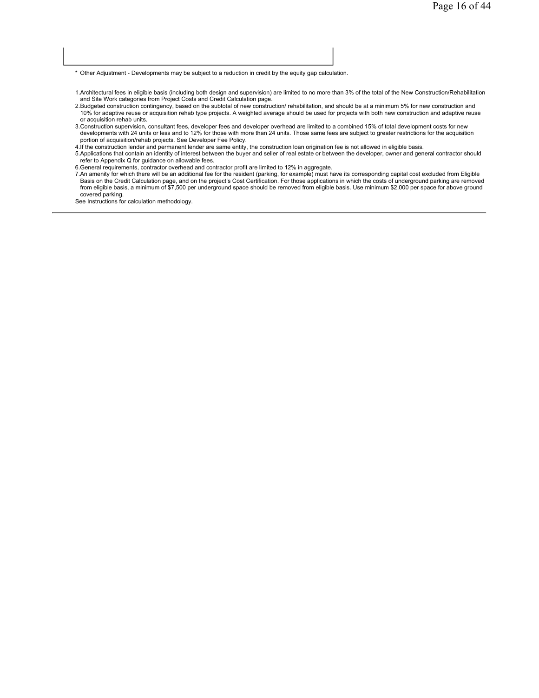\* Other Adjustment - Developments may be subject to a reduction in credit by the equity gap calculation.

- 1.Architectural fees in eligible basis (including both design and supervision) are limited to no more than 3% of the total of the New Construction/Rehabilitation and Site Work categories from Project Costs and Credit Calculation page.
- 2.Budgeted construction contingency, based on the subtotal of new construction/ rehabilitation, and should be at a minimum 5% for new construction and 10% for adaptive reuse or acquisition rehab type projects. A weighted average should be used for projects with both new construction and adaptive reuse or acquisition rehab units.
- 3.Construction supervision, consultant fees, developer fees and developer overhead are limited to a combined 15% of total development costs for new developments with 24 units or less and to 12% for those with more than 24 units. Those same fees are subject to greater restrictions for the acquisition portion of acquisition/rehab projects. See Developer Fee Policy.
- 4.If the construction lender and permanent lender are same entity, the construction loan origination fee is not allowed in eligible basis.
- 5.Applications that contain an identity of interest between the buyer and seller of real estate or between the developer, owner and general contractor should refer to Appendix Q for guidance on allowable fees.
- 6.General requirements, contractor overhead and contractor profit are limited to 12% in aggregate.
- 7.An amenity for which there will be an additional fee for the resident (parking, for example) must have its corresponding capital cost excluded from Eligible Basis on the Credit Calculation page, and on the project's Cost Certification. For those applications in which the costs of underground parking are removed<br>from eligible basis, a minimum of \$7,500 per underground space sho covered parking.

See Instructions for calculation methodology.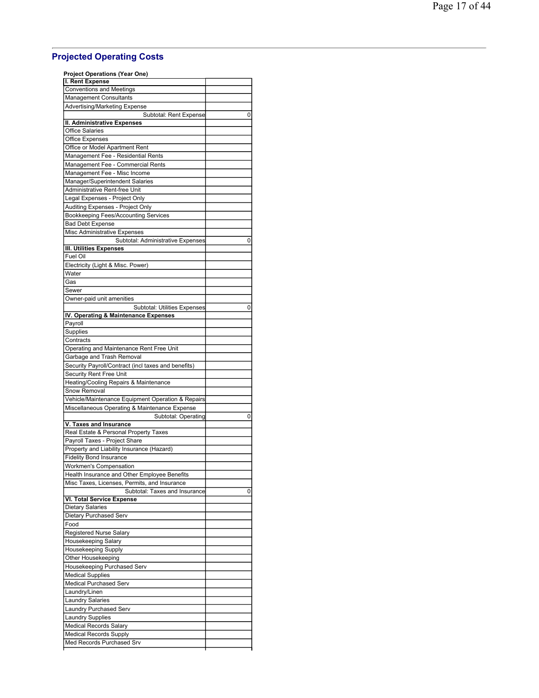# **Projected Operating Costs**

| Project Operations (Year One)                                   |   |
|-----------------------------------------------------------------|---|
| I. Rent Expense                                                 |   |
| Conventions and Meetings                                        |   |
| <b>Management Consultants</b>                                   |   |
| Advertising/Marketing Expense                                   |   |
| Subtotal: Rent Expense<br>II. Administrative Expenses           | 0 |
| Office Salaries                                                 |   |
| Office Expenses                                                 |   |
| Office or Model Apartment Rent                                  |   |
| Management Fee - Residential Rents                              |   |
| Management Fee - Commercial Rents                               |   |
| Management Fee - Misc Income                                    |   |
| Manager/Superintendent Salaries                                 |   |
| Administrative Rent-free Unit                                   |   |
| Legal Expenses - Project Only                                   |   |
| Auditing Expenses - Project Only                                |   |
| Bookkeeping Fees/Accounting Services                            |   |
| Bad Debt Expense<br>Misc Administrative Expenses                |   |
| Subtotal: Administrative Expenses                               | 0 |
| III. Utilities Expenses                                         |   |
| Fuel Oil                                                        |   |
| Electricity (Light & Misc. Power)                               |   |
| Water                                                           |   |
| Gas                                                             |   |
| Sewer                                                           |   |
| Owner-paid unit amenities                                       |   |
| Subtotal: Utilities Expenses                                    | 0 |
| IV. Operating & Maintenance Expenses                            |   |
| Payroll                                                         |   |
| Supplies<br>Contracts                                           |   |
| Operating and Maintenance Rent Free Unit                        |   |
| Garbage and Trash Removal                                       |   |
| Security Payroll/Contract (incl taxes and benefits)             |   |
| Security Rent Free Unit                                         |   |
| Heating/Cooling Repairs & Maintenance                           |   |
| Snow Removal                                                    |   |
| Vehicle/Maintenance Equipment Operation & Repairs               |   |
| Miscellaneous Operating & Maintenance Expense                   |   |
| Subtotal: Operating                                             | 0 |
| V. Taxes and Insurance<br>Real Estate & Personal Property Taxes |   |
| Payroll Taxes - Project Share                                   |   |
| Property and Liability Insurance (Hazard)                       |   |
| <b>Fidelity Bond Insurance</b>                                  |   |
| Workmen's Compensation                                          |   |
| Health Insurance and Other Employee Benefits                    |   |
| Misc Taxes, Licenses, Permits, and Insurance                    |   |
| Subtotal: Taxes and Insurance                                   | 0 |
| VI. Total Service Expense                                       |   |
| Dietary Salaries                                                |   |
| Dietary Purchased Serv                                          |   |
| Food                                                            |   |
| Registered Nurse Salary                                         |   |
| Housekeeping Salary                                             |   |
| Housekeeping Supply<br>Other Housekeeping                       |   |
| Housekeeping Purchased Serv                                     |   |
| <b>Medical Supplies</b>                                         |   |
| <b>Medical Purchased Serv</b>                                   |   |
| Laundry/Linen                                                   |   |
| Laundry Salaries                                                |   |
| Laundry Purchased Serv                                          |   |
| Laundry Supplies                                                |   |
| <b>Medical Records Salary</b>                                   |   |
| <b>Medical Records Supply</b>                                   |   |
| Med Records Purchased Srv                                       |   |
|                                                                 |   |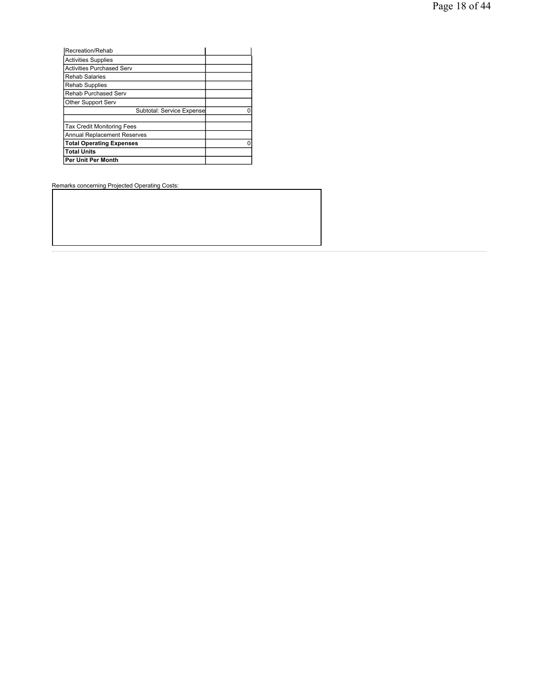| Recreation/Rehab                   |  |
|------------------------------------|--|
| <b>Activities Supplies</b>         |  |
| <b>Activities Purchased Serv</b>   |  |
| <b>Rehab Salaries</b>              |  |
| <b>Rehab Supplies</b>              |  |
| <b>Rehab Purchased Serv</b>        |  |
| Other Support Serv                 |  |
| Subtotal: Service Expense          |  |
|                                    |  |
| <b>Tax Credit Monitoring Fees</b>  |  |
| <b>Annual Replacement Reserves</b> |  |
| <b>Total Operating Expenses</b>    |  |
| <b>Total Units</b>                 |  |
| Per Unit Per Month                 |  |

Remarks concerning Projected Operating Costs: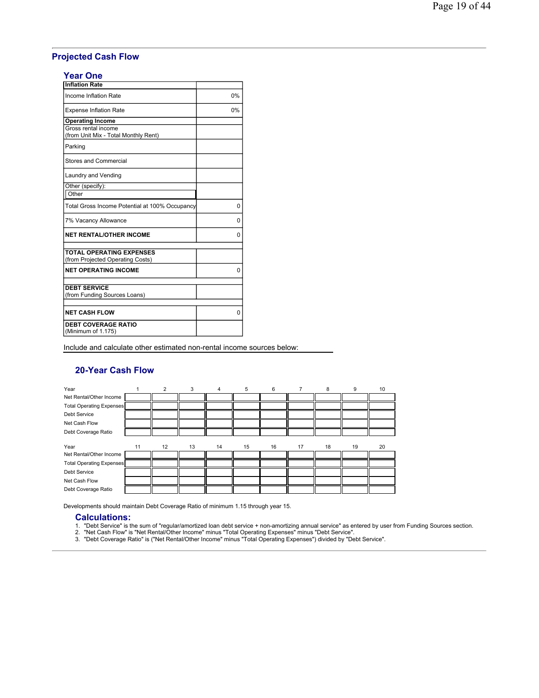# **Projected Cash Flow**

## **Year One**

| <b>Inflation Rate</b>                                       |    |
|-------------------------------------------------------------|----|
| Income Inflation Rate                                       | 0% |
| <b>Expense Inflation Rate</b>                               | 0% |
| <b>Operating Income</b>                                     |    |
| Gross rental income<br>(from Unit Mix - Total Monthly Rent) |    |
| Parking                                                     |    |
| Stores and Commercial                                       |    |
| Laundry and Vending                                         |    |
| Other (specify):                                            |    |
| Other                                                       |    |
| Total Gross Income Potential at 100% Occupancy              | 0  |
| 7% Vacancy Allowance                                        | 0  |
| <b>NET RENTAL/OTHER INCOME</b>                              | 0  |
| <b>TOTAL OPERATING EXPENSES</b>                             |    |
| (from Projected Operating Costs)                            |    |
| <b>NET OPERATING INCOME</b>                                 | 0  |
|                                                             |    |
| <b>DEBT SERVICE</b>                                         |    |
| (from Funding Sources Loans)                                |    |
| <b>NET CASH FLOW</b>                                        | 0  |
| <b>DEBT COVERAGE RATIO</b>                                  |    |
| (Minimum of 1.175)                                          |    |

Include and calculate other estimated non-rental income sources below:

## **20-Year Cash Flow**

| Year                            |    | 2  | 3  | $\overline{4}$ | 5  | 6  | 7  | 8  | 9  | 10 |
|---------------------------------|----|----|----|----------------|----|----|----|----|----|----|
| Net Rental/Other Income         |    |    |    |                |    |    |    |    |    |    |
| Total Operating Expenses        |    |    |    |                |    |    |    |    |    |    |
| <b>Debt Service</b>             |    |    |    |                |    |    |    |    |    |    |
| Net Cash Flow                   |    |    |    |                |    |    |    |    |    |    |
| Debt Coverage Ratio             |    |    |    |                |    |    |    |    |    |    |
|                                 |    |    |    |                |    |    |    |    |    |    |
| Year                            | 11 | 12 | 13 | 14             | 15 | 16 | 17 | 18 | 19 | 20 |
| Net Rental/Other Income         |    |    |    |                |    |    |    |    |    |    |
| <b>Total Operating Expenses</b> |    |    |    |                |    |    |    |    |    |    |
| <b>Debt Service</b>             |    |    |    |                |    |    |    |    |    |    |
| Net Cash Flow                   |    |    |    |                |    |    |    |    |    |    |
| Debt Coverage Ratio             |    |    |    |                |    |    |    |    |    |    |

Developments should maintain Debt Coverage Ratio of minimum 1.15 through year 15.

#### **Calculations:**

- 1. "Debt Service" is the sum of "regular/amortized loan debt service + non-amortizing annual service" as entered by user from Funding Sources section.<br>2. "Net Cash Flow" is "Net Rental/Other Income" minus "Total Operatin
- 
-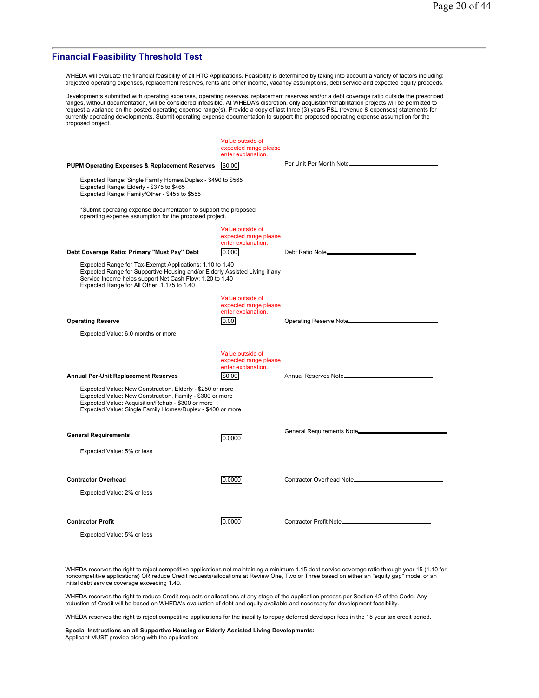## **Financial Feasibility Threshold Test**

WHEDA will evaluate the financial feasibility of all HTC Applications. Feasibility is determined by taking into account a variety of factors including: projected operating expenses, replacement reserves, rents and other income, vacancy assumptions, debt service and expected equity proceeds.

Developments submitted with operating expenses, operating reserves, replacement reserves and/or a debt coverage ratio outside the prescribed<br>ranges, without documentation, will be considered infeasible. At WHEDA's discreti currently operating developments. Submit operating expense documentation to support the proposed operating expense assumption for the proposed project.

| Per Unit Per Month Note__________<br><b>PUPM Operating Expenses &amp; Replacement Reserves</b><br>\$0.00<br>Expected Range: Single Family Homes/Duplex - \$490 to \$565<br>Expected Range: Elderly - \$375 to \$465<br>Expected Range: Family/Other - \$455 to \$555<br>*Submit operating expense documentation to support the proposed<br>operating expense assumption for the proposed project.<br>Value outside of<br>expected range please<br>enter explanation.<br>Debt Coverage Ratio: Primary "Must Pay" Debt<br>0.000<br>Debt Ratio Note____________<br>Expected Range for Tax-Exempt Applications: 1.10 to 1.40<br>Expected Range for Supportive Housing and/or Elderly Assisted Living if any<br>Service Income helps support Net Cash Flow: 1.20 to 1.40<br>Expected Range for All Other: 1.175 to 1.40<br>Value outside of<br>expected range please<br>enter explanation.<br><b>Operating Reserve</b><br>0.00<br>Operating Reserve Note_____________<br>Expected Value: 6.0 months or more<br>Value outside of<br>expected range please<br>enter explanation.<br>\$0.00<br><b>Annual Per-Unit Replacement Reserves</b><br>Expected Value: New Construction, Elderly - \$250 or more<br>Expected Value: New Construction, Family - \$300 or more<br>Expected Value: Acquisition/Rehab - \$300 or more<br>Expected Value: Single Family Homes/Duplex - \$400 or more<br>General Requirements Note <sup>[11]</sup> [11] General Requirements Note <sup>[11]</sup> [12]<br><b>General Requirements</b><br>0.0000<br>Expected Value: 5% or less<br>0.0000<br>Contractor Overhead Note___________________<br><b>Contractor Overhead</b><br>Expected Value: 2% or less | Value outside of<br>expected range please<br>enter explanation. |  |
|-----------------------------------------------------------------------------------------------------------------------------------------------------------------------------------------------------------------------------------------------------------------------------------------------------------------------------------------------------------------------------------------------------------------------------------------------------------------------------------------------------------------------------------------------------------------------------------------------------------------------------------------------------------------------------------------------------------------------------------------------------------------------------------------------------------------------------------------------------------------------------------------------------------------------------------------------------------------------------------------------------------------------------------------------------------------------------------------------------------------------------------------------------------------------------------------------------------------------------------------------------------------------------------------------------------------------------------------------------------------------------------------------------------------------------------------------------------------------------------------------------------------------------------------------------------------------------------------------------------------------------------------------------------------------------|-----------------------------------------------------------------|--|
|                                                                                                                                                                                                                                                                                                                                                                                                                                                                                                                                                                                                                                                                                                                                                                                                                                                                                                                                                                                                                                                                                                                                                                                                                                                                                                                                                                                                                                                                                                                                                                                                                                                                             |                                                                 |  |
|                                                                                                                                                                                                                                                                                                                                                                                                                                                                                                                                                                                                                                                                                                                                                                                                                                                                                                                                                                                                                                                                                                                                                                                                                                                                                                                                                                                                                                                                                                                                                                                                                                                                             |                                                                 |  |
|                                                                                                                                                                                                                                                                                                                                                                                                                                                                                                                                                                                                                                                                                                                                                                                                                                                                                                                                                                                                                                                                                                                                                                                                                                                                                                                                                                                                                                                                                                                                                                                                                                                                             |                                                                 |  |
|                                                                                                                                                                                                                                                                                                                                                                                                                                                                                                                                                                                                                                                                                                                                                                                                                                                                                                                                                                                                                                                                                                                                                                                                                                                                                                                                                                                                                                                                                                                                                                                                                                                                             |                                                                 |  |
|                                                                                                                                                                                                                                                                                                                                                                                                                                                                                                                                                                                                                                                                                                                                                                                                                                                                                                                                                                                                                                                                                                                                                                                                                                                                                                                                                                                                                                                                                                                                                                                                                                                                             |                                                                 |  |
|                                                                                                                                                                                                                                                                                                                                                                                                                                                                                                                                                                                                                                                                                                                                                                                                                                                                                                                                                                                                                                                                                                                                                                                                                                                                                                                                                                                                                                                                                                                                                                                                                                                                             |                                                                 |  |
|                                                                                                                                                                                                                                                                                                                                                                                                                                                                                                                                                                                                                                                                                                                                                                                                                                                                                                                                                                                                                                                                                                                                                                                                                                                                                                                                                                                                                                                                                                                                                                                                                                                                             |                                                                 |  |
|                                                                                                                                                                                                                                                                                                                                                                                                                                                                                                                                                                                                                                                                                                                                                                                                                                                                                                                                                                                                                                                                                                                                                                                                                                                                                                                                                                                                                                                                                                                                                                                                                                                                             |                                                                 |  |
|                                                                                                                                                                                                                                                                                                                                                                                                                                                                                                                                                                                                                                                                                                                                                                                                                                                                                                                                                                                                                                                                                                                                                                                                                                                                                                                                                                                                                                                                                                                                                                                                                                                                             |                                                                 |  |
|                                                                                                                                                                                                                                                                                                                                                                                                                                                                                                                                                                                                                                                                                                                                                                                                                                                                                                                                                                                                                                                                                                                                                                                                                                                                                                                                                                                                                                                                                                                                                                                                                                                                             |                                                                 |  |
|                                                                                                                                                                                                                                                                                                                                                                                                                                                                                                                                                                                                                                                                                                                                                                                                                                                                                                                                                                                                                                                                                                                                                                                                                                                                                                                                                                                                                                                                                                                                                                                                                                                                             |                                                                 |  |
|                                                                                                                                                                                                                                                                                                                                                                                                                                                                                                                                                                                                                                                                                                                                                                                                                                                                                                                                                                                                                                                                                                                                                                                                                                                                                                                                                                                                                                                                                                                                                                                                                                                                             |                                                                 |  |
|                                                                                                                                                                                                                                                                                                                                                                                                                                                                                                                                                                                                                                                                                                                                                                                                                                                                                                                                                                                                                                                                                                                                                                                                                                                                                                                                                                                                                                                                                                                                                                                                                                                                             |                                                                 |  |
|                                                                                                                                                                                                                                                                                                                                                                                                                                                                                                                                                                                                                                                                                                                                                                                                                                                                                                                                                                                                                                                                                                                                                                                                                                                                                                                                                                                                                                                                                                                                                                                                                                                                             |                                                                 |  |
|                                                                                                                                                                                                                                                                                                                                                                                                                                                                                                                                                                                                                                                                                                                                                                                                                                                                                                                                                                                                                                                                                                                                                                                                                                                                                                                                                                                                                                                                                                                                                                                                                                                                             |                                                                 |  |
| <b>Contractor Profit</b><br>0.0000<br>Expected Value: 5% or less                                                                                                                                                                                                                                                                                                                                                                                                                                                                                                                                                                                                                                                                                                                                                                                                                                                                                                                                                                                                                                                                                                                                                                                                                                                                                                                                                                                                                                                                                                                                                                                                            |                                                                 |  |

WHEDA reserves the right to reject competitive applications not maintaining a minimum 1.15 debt service coverage ratio through year 15 (1.10 for noncompetitive applications) OR reduce Credit requests/allocations at Review One, Two or Three based on either an "equity gap" model or an initial debt service coverage exceeding 1.40.

WHEDA reserves the right to reduce Credit requests or allocations at any stage of the application process per Section 42 of the Code. Any<br>reduction of Credit will be based on WHEDA's evaluation of debt and equity available

WHEDA reserves the right to reject competitive applications for the inability to repay deferred developer fees in the 15 year tax credit period.

**Special Instructions on all Supportive Housing or Elderly Assisted Living Developments:** Applicant MUST provide along with the application: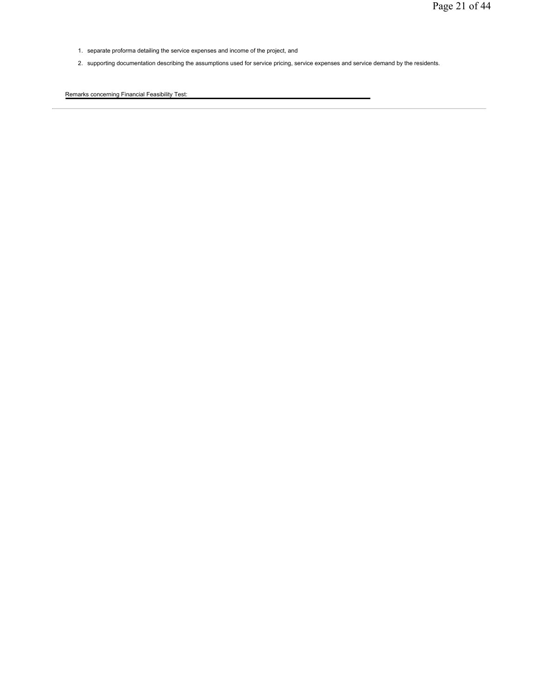- 1. separate proforma detailing the service expenses and income of the project, and
- 2. supporting documentation describing the assumptions used for service pricing, service expenses and service demand by the residents.

Remarks concerning Financial Feasibility Test: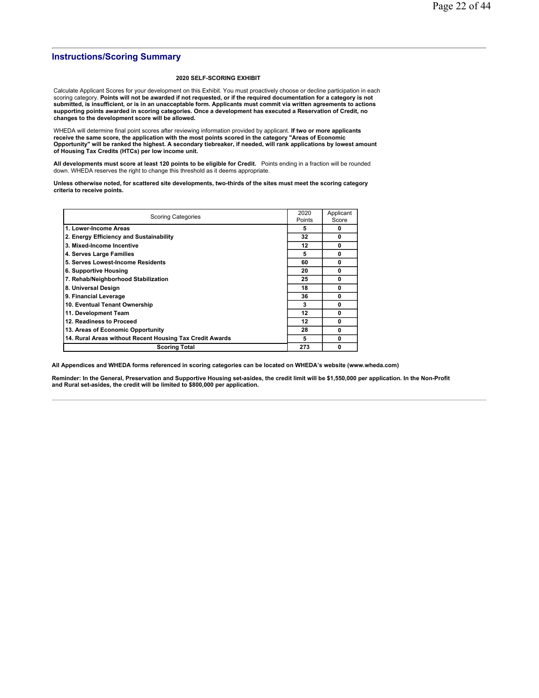## **Instructions/Scoring Summary**

#### **2020 SELF-SCORING EXHIBIT**

Calculate Applicant Scores for your development on this Exhibit. You must proactively choose or decline participation in each scoring category. **Points will not be awarded if not requested, or if the required documentation for a category is not submitted, is insufficient, or is in an unacceptable form. Applicants must commit via written agreements to actions supporting points awarded in scoring categories. Once a development has executed a Reservation of Credit, no changes to the development score will be allowed.**

WHEDA will determine final point scores after reviewing information provided by applicant. **If two or more applicants receive the same score, the application with the most points scored in the category "Areas of Economic Opportunity" will be ranked the highest. A secondary tiebreaker, if needed, will rank applications by lowest amount of Housing Tax Credits (HTCs) per low income unit.**

**All developments must score at least 120 points to be eligible for Credit.** Points ending in a fraction will be rounded<br>down. WHEDA reserves the right to change this threshold as it deems appropriate.

**Unless otherwise noted, for scattered site developments, two-thirds of the sites must meet the scoring category criteria to receive points.**

| <b>Scoring Categories</b>                                | 2020<br>Points | Applicant<br>Score |
|----------------------------------------------------------|----------------|--------------------|
| 1. Lower-Income Areas                                    | 5              | 0                  |
| 2. Energy Efficiency and Sustainability                  | 32             | $\mathbf{0}$       |
| 3. Mixed-Income Incentive                                | 12             | 0                  |
| 4. Serves Large Families                                 | 5              | 0                  |
| 5. Serves Lowest-Income Residents                        | 60             | $\mathbf{0}$       |
| 6. Supportive Housing                                    | 20             | 0                  |
| 7. Rehab/Neighborhood Stabilization                      | 25             | $\mathbf{0}$       |
| 8. Universal Design                                      | 18             | 0                  |
| 9. Financial Leverage                                    | 36             | $\mathbf{0}$       |
| 10. Eventual Tenant Ownership                            | 3              | 0                  |
| 11. Development Team                                     | 12             | 0                  |
| 12. Readiness to Proceed                                 | 12             | 0                  |
| 13. Areas of Economic Opportunity                        | 28             | $\mathbf{0}$       |
| 14. Rural Areas without Recent Housing Tax Credit Awards | 5              | $\mathbf{0}$       |
| <b>Scoring Total</b>                                     | 273            | 0                  |

**All Appendices and WHEDA forms referenced in scoring categories can be located on WHEDA's website (www.wheda.com)**

**Reminder: In the General, Preservation and Supportive Housing set-asides, the credit limit will be \$1,550,000 per application. In the Non-Profit and Rural set-asides, the credit will be limited to \$800,000 per application.**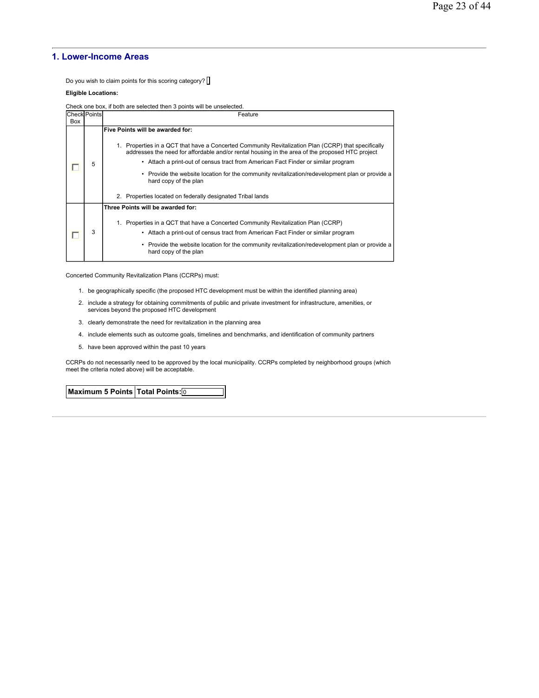## **1. Lower-Income Areas**

Do you wish to claim points for this scoring category? []

#### **Eligible Locations:**

Check one box, if both are selected then 3 points will be unselected.

|     | <b>Check Points</b> | Feature                                                                                                                                                                                                                                                                                                                                                                                                                                                                                                                   |
|-----|---------------------|---------------------------------------------------------------------------------------------------------------------------------------------------------------------------------------------------------------------------------------------------------------------------------------------------------------------------------------------------------------------------------------------------------------------------------------------------------------------------------------------------------------------------|
| Box |                     |                                                                                                                                                                                                                                                                                                                                                                                                                                                                                                                           |
|     | 5                   | Five Points will be awarded for:<br>1. Properties in a QCT that have a Concerted Community Revitalization Plan (CCRP) that specifically<br>addresses the need for affordable and/or rental housing in the area of the proposed HTC project<br>• Attach a print-out of census tract from American Fact Finder or similar program<br>• Provide the website location for the community revitalization/redevelopment plan or provide a<br>hard copy of the plan<br>2. Properties located on federally designated Tribal lands |
|     | 3                   | Three Points will be awarded for:<br>Properties in a QCT that have a Concerted Community Revitalization Plan (CCRP)<br>1.<br>• Attach a print-out of census tract from American Fact Finder or similar program<br>• Provide the website location for the community revitalization/redevelopment plan or provide a<br>hard copy of the plan                                                                                                                                                                                |

Concerted Community Revitalization Plans (CCRPs) must:

- 1. be geographically specific (the proposed HTC development must be within the identified planning area)
- 2. include a strategy for obtaining commitments of public and private investment for infrastructure, amenities, or services beyond the proposed HTC development
- 3. clearly demonstrate the need for revitalization in the planning area
- 4. include elements such as outcome goals, timelines and benchmarks, and identification of community partners
- 5. have been approved within the past 10 years

CCRPs do not necessarily need to be approved by the local municipality. CCRPs completed by neighborhood groups (which meet the criteria noted above) will be acceptable.

**Maximum 5 Points Total Points:** 0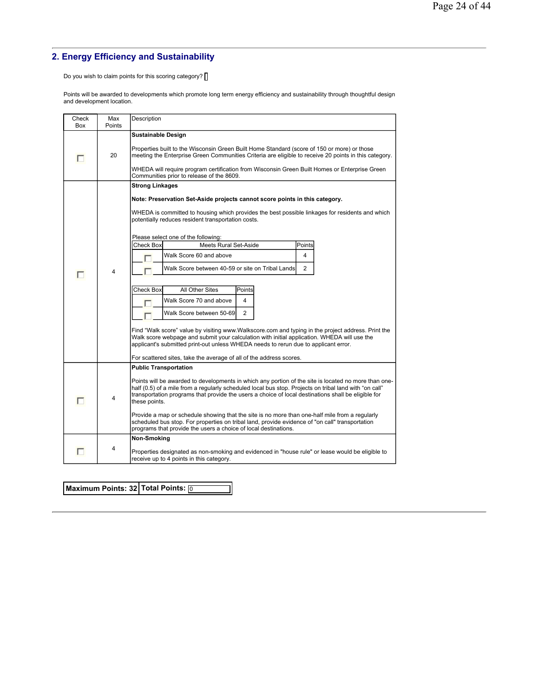# **2. Energy Efficiency and Sustainability**

Do you wish to claim points for this scoring category? [

Points will be awarded to developments which promote long term energy efficiency and sustainability through thoughtful design and development location.

| Check<br>Box | Max<br>Points | Description                                                                                                                                                                                                                                                                                                                            |  |  |  |  |  |
|--------------|---------------|----------------------------------------------------------------------------------------------------------------------------------------------------------------------------------------------------------------------------------------------------------------------------------------------------------------------------------------|--|--|--|--|--|
|              |               | <b>Sustainable Design</b>                                                                                                                                                                                                                                                                                                              |  |  |  |  |  |
| п            | 20            | Properties built to the Wisconsin Green Built Home Standard (score of 150 or more) or those<br>meeting the Enterprise Green Communities Criteria are eligible to receive 20 points in this category.                                                                                                                                   |  |  |  |  |  |
|              |               | WHEDA will require program certification from Wisconsin Green Built Homes or Enterprise Green<br>Communities prior to release of the 8609.                                                                                                                                                                                             |  |  |  |  |  |
|              |               | <b>Strong Linkages</b>                                                                                                                                                                                                                                                                                                                 |  |  |  |  |  |
|              |               | Note: Preservation Set-Aside projects cannot score points in this category.                                                                                                                                                                                                                                                            |  |  |  |  |  |
|              |               | WHEDA is committed to housing which provides the best possible linkages for residents and which<br>potentially reduces resident transportation costs.                                                                                                                                                                                  |  |  |  |  |  |
|              |               | Please select one of the following:                                                                                                                                                                                                                                                                                                    |  |  |  |  |  |
|              |               | <b>Check Box</b><br><b>Meets Rural Set-Aside</b><br>Points                                                                                                                                                                                                                                                                             |  |  |  |  |  |
|              |               | Walk Score 60 and above<br>4                                                                                                                                                                                                                                                                                                           |  |  |  |  |  |
| п            | 4             | Walk Score between 40-59 or site on Tribal Lands<br>$\overline{2}$                                                                                                                                                                                                                                                                     |  |  |  |  |  |
|              |               |                                                                                                                                                                                                                                                                                                                                        |  |  |  |  |  |
|              |               | Points<br><b>Check Box</b><br>All Other Sites                                                                                                                                                                                                                                                                                          |  |  |  |  |  |
|              |               | Walk Score 70 and above<br>4                                                                                                                                                                                                                                                                                                           |  |  |  |  |  |
|              |               | Walk Score between 50-69<br>2                                                                                                                                                                                                                                                                                                          |  |  |  |  |  |
|              |               | Find "Walk score" value by visiting www.Walkscore.com and typing in the project address. Print the<br>Walk score webpage and submit your calculation with initial application. WHEDA will use the<br>applicant's submitted print-out unless WHEDA needs to rerun due to applicant error.                                               |  |  |  |  |  |
|              |               | For scattered sites, take the average of all of the address scores.                                                                                                                                                                                                                                                                    |  |  |  |  |  |
|              |               | <b>Public Transportation</b>                                                                                                                                                                                                                                                                                                           |  |  |  |  |  |
|              | 4             | Points will be awarded to developments in which any portion of the site is located no more than one-<br>half (0.5) of a mile from a regularly scheduled local bus stop. Projects on tribal land with "on call"<br>transportation programs that provide the users a choice of local destinations shall be eligible for<br>these points. |  |  |  |  |  |
|              |               | Provide a map or schedule showing that the site is no more than one-half mile from a regularly<br>scheduled bus stop. For properties on tribal land, provide evidence of "on call" transportation<br>programs that provide the users a choice of local destinations.                                                                   |  |  |  |  |  |
|              |               | Non-Smoking                                                                                                                                                                                                                                                                                                                            |  |  |  |  |  |
|              | 4             | Properties designated as non-smoking and evidenced in "house rule" or lease would be eligible to<br>receive up to 4 points in this category.                                                                                                                                                                                           |  |  |  |  |  |

**Maximum Points: 32 Total Points:** 0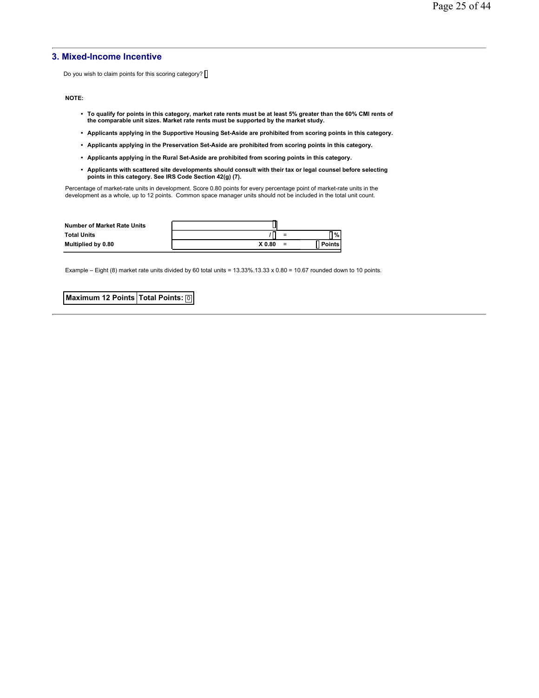## **3. Mixed-Income Incentive**

Do you wish to claim points for this scoring category?  $\Box$ 

**NOTE:**

- **To qualify for points in this category, market rate rents must be at least 5% greater than the 60% CMI rents of the comparable unit sizes. Market rate rents must be supported by the market study.**
- **Applicants applying in the Supportive Housing Set-Aside are prohibited from scoring points in this category.**
- **Applicants applying in the Preservation Set-Aside are prohibited from scoring points in this category.**
- **Applicants applying in the Rural Set-Aside are prohibited from scoring points in this category.**
- **Applicants with scattered site developments should consult with their tax or legal counsel before selecting points in this category. See IRS Code Section 42(g) (7).**

Percentage of market-rate units in development. Score 0.80 points for every percentage point of market-rate units in the<br>development as a whole, up to 12 points. Common space manager units should not be included in the to

| <b>Number of Market Rate Units</b> |        |     |               |
|------------------------------------|--------|-----|---------------|
| <b>Total Units</b>                 |        | $=$ | ס⁄י ⊓         |
| Multiplied by 0.80                 | X 0.80 | $=$ | <b>Points</b> |

Example – Eight (8) market rate units divided by 60 total units =  $13.33\% \cdot 13.33 \times 0.80 = 10.67$  rounded down to 10 points.

**Maximum 12 Points Total Points: 0**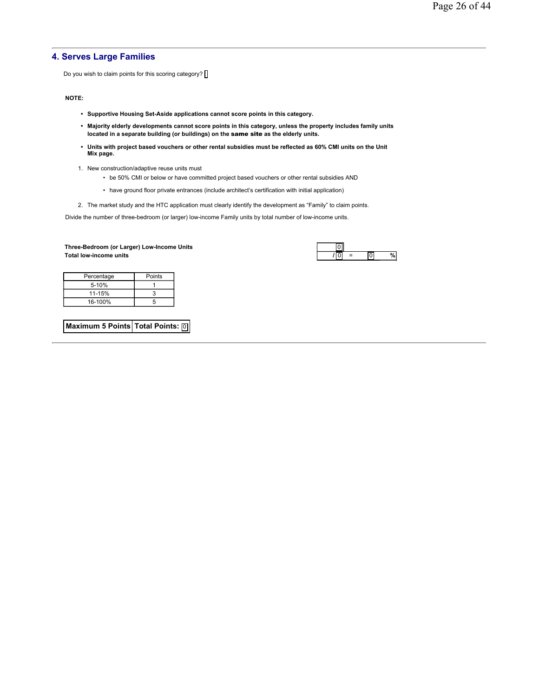## **4. Serves Large Families**

Do you wish to claim points for this scoring category?  $\Box$ 

#### **NOTE:**

- **Supportive Housing Set-Aside applications cannot score points in this category.**
- **Majority elderly developments cannot score points in this category, unless the property includes family units located in a separate building (or buildings) on the** same site **as the elderly units.**
- **Units with project based vouchers or other rental subsidies must be reflected as 60% CMI units on the Unit Mix page.**
- 1. New construction/adaptive reuse units must
	- be 50% CMI or below or have committed project based vouchers or other rental subsidies AND
	- have ground floor private entrances (include architect's certification with initial application)
- 2. The market study and the HTC application must clearly identify the development as "Family" to claim points.

Divide the number of three-bedroom (or larger) low-income Family units by total number of low-income units.

#### **Three-Bedroom (or Larger) Low-Income Units** 0  $Total low-income units$

| = |  |
|---|--|

| Percentage | Points |
|------------|--------|
| $5 - 10%$  |        |
| 11-15%     |        |
| 16-100%    | 5      |

**Maximum 5 Points Total Points: 0**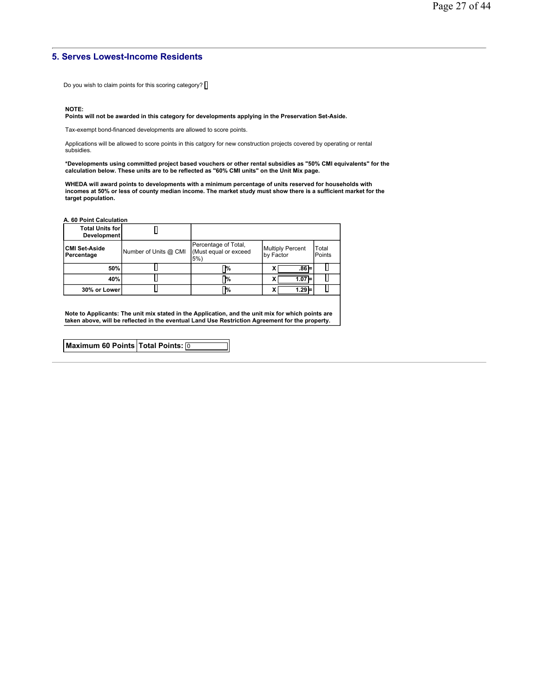## **5. Serves Lowest-Income Residents**

Do you wish to claim points for this scoring category?  $\Box$ 

#### **NOTE:**

## **Points will not be awarded in this category for developments applying in the Preservation Set-Aside.**

Tax-exempt bond-financed developments are allowed to score points.

Applications will be allowed to score points in this catgory for new construction projects covered by operating or rental subsidies.

**\*Developments using committed project based vouchers or other rental subsidies as "50% CMI equivalents" for the calculation below. These units are to be reflected as "60% CMI units" on the Unit Mix page.** 

WHEDA will award points to developments with a minimum percentage of units reserved for households with<br>incomes at 50% or less of county median income. The market study must show there is a sufficient market for the **target population.**

**A. 60 Point Calculation**

| <b>Total Units for</b><br><b>Development</b> |                       |                                                         |                                      |                 |
|----------------------------------------------|-----------------------|---------------------------------------------------------|--------------------------------------|-----------------|
| <b>CMI Set-Aside</b><br>Percentage           | Number of Units @ CMI | Percentage of Total,<br>(Must equal or exceed<br>$5%$ ) | <b>Multiply Percent</b><br>by Factor | Total<br>Points |
| 50%                                          |                       | 7%                                                      | $.86 =$                              |                 |
| 40%                                          |                       | ٦%                                                      | $1.07 =$                             |                 |
| 30% or Lower                                 |                       | ™,                                                      | $1.29 =$                             |                 |

**Note to Applicants: The unit mix stated in the Application, and the unit mix for which points are taken above, will be reflected in the eventual Land Use Restriction Agreement for the property.**

| Maximum 60 Points Total Points: 0 |  |
|-----------------------------------|--|
|                                   |  |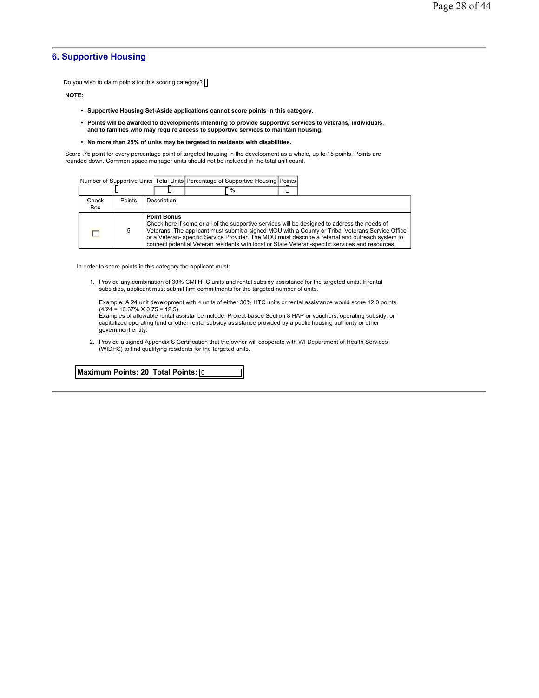## **6. Supportive Housing**

Do you wish to claim points for this scoring category?  $\square$ 

**NOTE:**

- **Supportive Housing Set-Aside applications cannot score points in this category.**
- **Points will be awarded to developments intending to provide supportive services to veterans, individuals, and to families who may require access to supportive services to maintain housing.**
- **No more than 25% of units may be targeted to residents with disabilities.**

Score .75 point for every percentage point of targeted housing in the development as a whole, up to 15 points. Points are rounded down. Common space manager units should not be included in the total unit count.

|              |        |                                                                                                                                                                                                                                                                                                                                                                                                                                 |  | Number of Supportive Units   Total Units   Percentage of Supportive Housing   Points |  |  |  |
|--------------|--------|---------------------------------------------------------------------------------------------------------------------------------------------------------------------------------------------------------------------------------------------------------------------------------------------------------------------------------------------------------------------------------------------------------------------------------|--|--------------------------------------------------------------------------------------|--|--|--|
|              |        |                                                                                                                                                                                                                                                                                                                                                                                                                                 |  | $\frac{9}{6}$                                                                        |  |  |  |
| Check<br>Box | Points | Description                                                                                                                                                                                                                                                                                                                                                                                                                     |  |                                                                                      |  |  |  |
|              | 5      | <b>Point Bonus</b><br>Check here if some or all of the supportive services will be designed to address the needs of<br>Veterans. The applicant must submit a signed MOU with a County or Tribal Veterans Service Office<br>or a Veteran- specific Service Provider. The MOU must describe a referral and outreach system to<br>connect potential Veteran residents with local or State Veteran-specific services and resources. |  |                                                                                      |  |  |  |

In order to score points in this category the applicant must:

1. Provide any combination of 30% CMI HTC units and rental subsidy assistance for the targeted units. If rental subsidies, applicant must submit firm commitments for the targeted number of units.

Example: A 24 unit development with 4 units of either 30% HTC units or rental assistance would score 12.0 points.  $(4/24 = 16.67\% \times 0.75 = 12.5)$ .

Examples of allowable rental assistance include: Project-based Section 8 HAP or vouchers, operating subsidy, or capitalized operating fund or other rental subsidy assistance provided by a public housing authority or other government entity.

2. Provide a signed Appendix S Certification that the owner will cooperate with WI Department of Health Services (WIDHS) to find qualifying residents for the targeted units.

**Maximum Points: 20 Total Points:** 0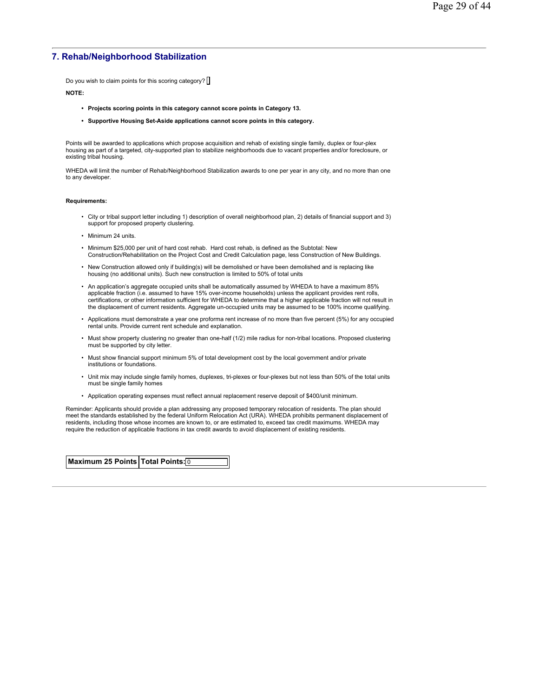## **7. Rehab/Neighborhood Stabilization**

Do you wish to claim points for this scoring category?

#### **NOTE:**

- **Projects scoring points in this category cannot score points in Category 13.**
- **Supportive Housing Set-Aside applications cannot score points in this category.**

Points will be awarded to applications which propose acquisition and rehab of existing single family, duplex or four-plex housing as part of a targeted, city-supported plan to stabilize neighborhoods due to vacant properties and/or foreclosure, or existing tribal housing.

WHEDA will limit the number of Rehab/Neighborhood Stabilization awards to one per year in any city, and no more than one to any developer.

#### **Requirements:**

- City or tribal support letter including 1) description of overall neighborhood plan, 2) details of financial support and 3) support for proposed property clustering.
- Minimum 24 units.
- Minimum \$25,000 per unit of hard cost rehab. Hard cost rehab, is defined as the Subtotal: New Construction/Rehabilitation on the Project Cost and Credit Calculation page, less Construction of New Buildings.
- New Construction allowed only if building(s) will be demolished or have been demolished and is replacing like housing (no additional units). Such new construction is limited to 50% of total units
- An application's aggregate occupied units shall be automatically assumed by WHEDA to have a maximum 85% applicable fraction (i.e. assumed to have 15% over-income households) unless the applicant provides rent rolls, certifications, or other information sufficient for WHEDA to determine that a higher applicable fraction will not result in the displacement of current residents. Aggregate un-occupied units may be assumed to be 100% income qualifying.
- Applications must demonstrate a year one proforma rent increase of no more than five percent (5%) for any occupied rental units. Provide current rent schedule and explanation.
- Must show property clustering no greater than one-half (1/2) mile radius for non-tribal locations. Proposed clustering must be supported by city letter.
- Must show financial support minimum 5% of total development cost by the local government and/or private institutions or foundations.
- Unit mix may include single family homes, duplexes, tri-plexes or four-plexes but not less than 50% of the total units must be single family homes
- Application operating expenses must reflect annual replacement reserve deposit of \$400/unit minimum.

Reminder: Applicants should provide a plan addressing any proposed temporary relocation of residents. The plan should meet the standards established by the federal Uniform Relocation Act (URA). WHEDA prohibits permanent displacement of residents, including those whose incomes are known to, or are estimated to, exceed tax credit maximums. WHEDA may require the reduction of applicable fractions in tax credit awards to avoid displacement of existing residents.

**Maximum 25 Points Total Points:** 0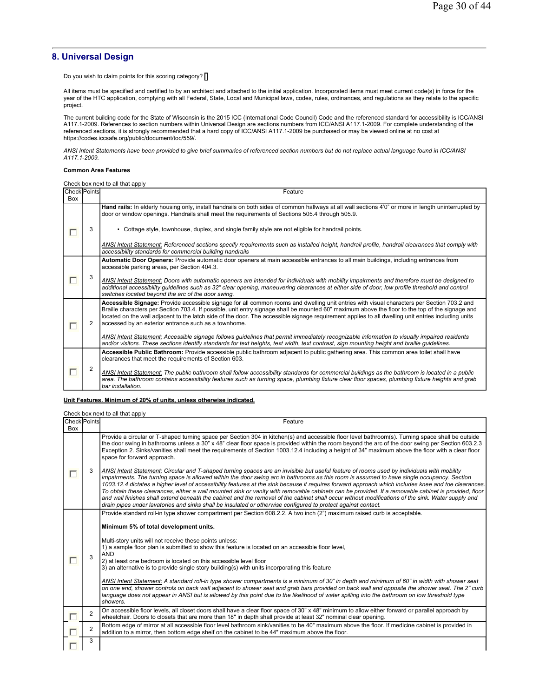## **8. Universal Design**

Do you wish to claim points for this scoring category? [

All items must be specified and certified to by an architect and attached to the initial application. Incorporated items must meet current code(s) in force for the year of the HTC application, complying with all Federal, State, Local and Municipal laws, codes, rules, ordinances, and regulations as they relate to the specific project.

The current building code for the State of Wisconsin is the 2015 ICC (International Code Council) Code and the referenced standard for accessibility is ICC/ANSI A117.1-2009. References to section numbers within Universal Design are sections numbers from ICC/ANSI A117.1-2009. For complete understanding of the referenced sections, it is strongly recommended that a hard copy of ICC/ANSI A117.1-2009 be purchased or may be viewed online at no cost at https://codes.iccsafe.org/public/document/toc/559/.

*ANSI Intent Statements have been provided to give brief summaries of referenced section numbers but do not replace actual language found in ICC/ANSI A117.1-2009.*

#### **Common Area Features**

Check box next to all that apply

| <b>Check Points</b><br>Box |   | Feature                                                                                                                                                                                                                                                                                                                                                                                                                                                                                                       |
|----------------------------|---|---------------------------------------------------------------------------------------------------------------------------------------------------------------------------------------------------------------------------------------------------------------------------------------------------------------------------------------------------------------------------------------------------------------------------------------------------------------------------------------------------------------|
|                            |   | Hand rails: In elderly housing only, install handrails on both sides of common hallways at all wall sections 4'0" or more in length uninterrupted by<br>door or window openings. Handrails shall meet the requirements of Sections 505.4 through 505.9.                                                                                                                                                                                                                                                       |
|                            | 3 | • Cottage style, townhouse, duplex, and single family style are not eligible for handrail points.                                                                                                                                                                                                                                                                                                                                                                                                             |
|                            |   | ANSI Intent Statement: Referenced sections specify requirements such as installed height, handrail profile, handrail clearances that comply with<br>accessibility standards for commercial building handrails                                                                                                                                                                                                                                                                                                 |
|                            |   | Automatic Door Openers: Provide automatic door openers at main accessible entrances to all main buildings, including entrances from<br>accessible parking areas, per Section 404.3.                                                                                                                                                                                                                                                                                                                           |
|                            | 3 | ANSI Intent Statement: Doors with automatic openers are intended for individuals with mobility impairments and therefore must be designed to<br>additional accessibility guidelines such as 32" clear opening, maneuvering clearances at either side of door, low profile threshold and control<br>switches located beyond the arc of the door swing.                                                                                                                                                         |
|                            | 2 | Accessible Signage: Provide accessible signage for all common rooms and dwelling unit entries with visual characters per Section 703.2 and<br>Braille characters per Section 703.4. If possible, unit entry signage shall be mounted 60" maximum above the floor to the top of the signage and<br>located on the wall adjacent to the latch side of the door. The accessible signage requirement applies to all dwelling unit entries including units<br>accessed by an exterior entrance such as a townhome. |
|                            |   | ANSI Intent Statement: Accessible signage follows guidelines that permit immediately recognizable information to visually impaired residents<br>and/or visitors. These sections identify standards for text heights, text width, text contrast, sign mounting height and braille quidelines.                                                                                                                                                                                                                  |
|                            |   | Accessible Public Bathroom: Provide accessible public bathroom adjacent to public gathering area. This common area toilet shall have<br>clearances that meet the requirements of Section 603.                                                                                                                                                                                                                                                                                                                 |
|                            |   | ANSI Intent Statement: The public bathroom shall follow accessibility standards for commercial buildings as the bathroom is located in a public<br>area. The bathroom contains accessibility features such as turning space, plumbing fixture clear floor spaces, plumbing fixture heights and grab<br>bar installation.                                                                                                                                                                                      |

#### **Unit Features. Minimum of 20% of units, unless otherwise indicated.**

Check box next to all that apply

**Check** Points Points Feature **Feature Feature in the Second Act of the Second Act of the Second Act of the Second Act of the Second Act of the Second Act of the Second Act of the Second Act of the Second Act of the Second Act of the Sec** Box Provide a circular or T-shaped turning space per Section 304 in kitchen(s) and accessible floor level bathroom(s). Turning space shall be outside the door swing in bathrooms unless a 30" x 48" clear floor space is provided within the room beyond the arc of the door swing per Section 603.2.3 Exception 2. Sinks/vanities shall meet the requirements of Section 1003.12.4 including a height of 34" maximum above the floor with a clear floor space for forward approach. *ANSI Intent Statement: Circular and T-shaped turning spaces are an invisible but useful feature of rooms used by individuals with mobility*  3  $\Box$ *impairments. The turning space is allowed within the door swing arc in bathrooms as this room is assumed to have single occupancy. Section 1003.12.4 dictates a higher level of accessibility features at the sink because it requires forward approach which includes knee and toe clearances. To obtain these clearances, either a wall mounted sink or vanity with removable cabinets can be provided. If a removable cabinet is provided, floor and wall finishes shall extend beneath the cabinet and the removal of the cabinet shall occur without modifications of the sink. Water supply and drain pipes under lavatories and sinks shall be insulated or otherwise configured to protect against contact.* Provide standard roll-in type shower compartment per Section 608.2.2. A two inch (2") maximum raised curb is acceptable. **Minimum 5% of total development units.** Multi-story units will not receive these points unless: 1) a sample floor plan is submitted to show this feature is located on an accessible floor level, AND 3 г 2) at least one bedroom is located on this accessible level floor 3) an alternative is to provide single story building(s) with units incorporating this feature *ANSI Intent Statement: A standard roll-in type shower compartments is a minimum of 30" in depth and minimum of 60" in width with shower seat on one end, shower controls on back wall adjacent to shower seat and grab bars provided on back wall and opposite the shower seat. The 2" curb*  language does not appear in ANSI but is allowed by this point due to the likelihood of water spilling into the bathroom on low threshold type *showers.* On accessible floor levels, all closet doors shall have a clear floor space of 30" x 48" minimum to allow either forward or parallel approach by<br>| wheelchair. Doors to closets that are more than 18" in depth shall provide г <sup>2</sup> Bottom edge of mirror at all accessible floor level bathroom sink/vanities to be 40" maximum above the floor. If medicine cabinet is provided in addition to a mirror, then bottom edge shelf on the cabinet to be 44" maximum above the floor. 3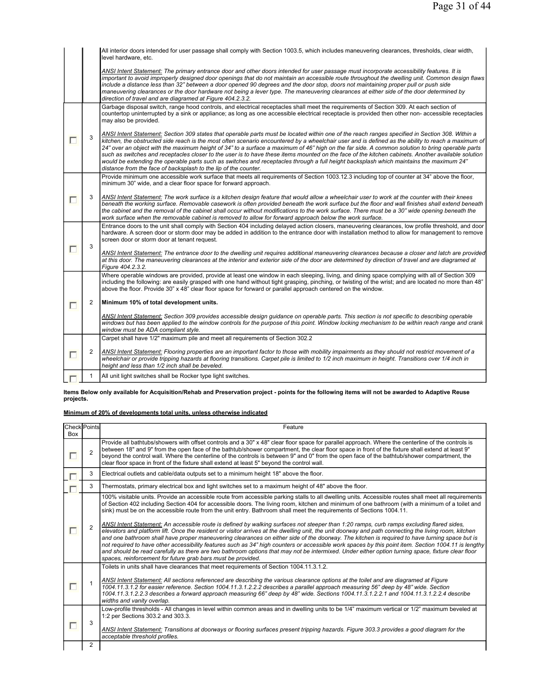|        |              | All interior doors intended for user passage shall comply with Section 1003.5, which includes maneuvering clearances, thresholds, clear width,<br>level hardware, etc.                                                                                                                                                                                                                                                                                                                                                                                                                                                                                                                                                                                                                                                       |
|--------|--------------|------------------------------------------------------------------------------------------------------------------------------------------------------------------------------------------------------------------------------------------------------------------------------------------------------------------------------------------------------------------------------------------------------------------------------------------------------------------------------------------------------------------------------------------------------------------------------------------------------------------------------------------------------------------------------------------------------------------------------------------------------------------------------------------------------------------------------|
|        |              | ANSI Intent Statement: The primary entrance door and other doors intended for user passage must incorporate accessibility features. It is<br>important to avoid improperly designed door openings that do not maintain an accessible route throughout the dwelling unit. Common design flaws<br>include a distance less than 32" between a door opened 90 degrees and the door stop, doors not maintaining proper pull or push side<br>maneuvering clearances or the door hardware not being a lever type. The maneuvering clearances at either side of the door determined by<br>direction of travel and are diagramed at Figure 404.2.3.2.                                                                                                                                                                                 |
|        |              | Garbage disposal switch, range hood controls, and electrical receptacles shall meet the requirements of Section 309. At each section of<br>countertop uninterrupted by a sink or appliance; as long as one accessible electrical receptacle is provided then other non- accessible receptacles<br>may also be provided.                                                                                                                                                                                                                                                                                                                                                                                                                                                                                                      |
|        | 3            | ANSI Intent Statement: Section 309 states that operable parts must be located within one of the reach ranges specified in Section 308. Within a<br>kitchen, the obstructed side reach is the most often scenario encountered by a wheelchair user and is defined as the ability to reach a maximum of<br>24" over an object with the maximum height of 34" to a surface a maximum of 46" high on the far side. A common solution to bring operable parts<br>such as switches and receptacles closer to the user is to have these items mounted on the face of the kitchen cabinets. Another available solution<br>would be extending the operable parts such as switches and receptacles through a full height backsplash which maintains the maximum 24"<br>distance from the face of backsplash to the lip of the counter. |
|        |              | Provide minimum one accessible work surface that meets all requirements of Section 1003.12.3 including top of counter at 34" above the floor,<br>minimum 30" wide, and a clear floor space for forward approach.                                                                                                                                                                                                                                                                                                                                                                                                                                                                                                                                                                                                             |
| П      | 3            | ANSI Intent Statement: The work surface is a kitchen design feature that would allow a wheelchair user to work at the counter with their knees<br>beneath the working surface. Removable casework is often provided beneath the work surface but the floor and wall finishes shall extend beneath<br>the cabinet and the removal of the cabinet shall occur without modifications to the work surface. There must be a 30" wide opening beneath the<br>work surface when the removable cabinet is removed to allow for forward approach below the work surface.                                                                                                                                                                                                                                                              |
|        | 3            | Entrance doors to the unit shall comply with Section 404 including delayed action closers, maneuvering clearances, low profile threshold, and door<br>hardware. A screen door or storm door may be added in addition to the entrance door with installation method to allow for management to remove<br>screen door or storm door at tenant request.                                                                                                                                                                                                                                                                                                                                                                                                                                                                         |
| П      |              | ANSI Intent Statement: The entrance door to the dwelling unit requires additional maneuvering clearances because a closer and latch are provided<br>at this door. The maneuvering clearances at the interior and exterior side of the door are determined by direction of travel and are diagramed at<br>Figure 404.2.3.2.                                                                                                                                                                                                                                                                                                                                                                                                                                                                                                   |
|        |              | Where operable windows are provided, provide at least one window in each sleeping, living, and dining space complying with all of Section 309<br>including the following: are easily grasped with one hand without tight grasping, pinching, or twisting of the wrist; and are located no more than 48"<br>above the floor. Provide 30" x 48" clear floor space for forward or parallel approach centered on the window.                                                                                                                                                                                                                                                                                                                                                                                                     |
| г      | 2            | Minimum 10% of total development units.                                                                                                                                                                                                                                                                                                                                                                                                                                                                                                                                                                                                                                                                                                                                                                                      |
|        |              | ANSI Intent Statement: Section 309 provides accessible design guidance on operable parts. This section is not specific to describing operable<br>windows but has been applied to the window controls for the purpose of this point. Window locking mechanism to be within reach range and crank<br>window must be ADA compliant style.                                                                                                                                                                                                                                                                                                                                                                                                                                                                                       |
|        |              | Carpet shall have 1/2" maximum pile and meet all requirements of Section 302.2                                                                                                                                                                                                                                                                                                                                                                                                                                                                                                                                                                                                                                                                                                                                               |
| $\Box$ | 2            | ANSI Intent Statement: Flooring properties are an important factor to those with mobility impairments as they should not restrict movement of a<br>wheelchair or provide tripping hazards at flooring transitions. Carpet pile is limited to 1/2 inch maximum in height. Transitions over 1/4 inch in<br>height and less than 1/2 inch shall be beveled.                                                                                                                                                                                                                                                                                                                                                                                                                                                                     |
|        | $\mathbf{1}$ | All unit light switches shall be Rocker type light switches.                                                                                                                                                                                                                                                                                                                                                                                                                                                                                                                                                                                                                                                                                                                                                                 |

# **Items Below only available for Acquisition/Rehab and Preservation project - points for the following items will not be awarded to Adaptive Reuse projects.**

## **Minimum of 20% of developments total units, unless otherwise indicated**

|            | <b>Check Points</b> | Feature                                                                                                                                                                                                                                                                                                                                                                                                                                                                                                                                                                                                                                                                                                                                                                                                                                                                                                                                                                                                                                                                                                                                                                                                                                                              |
|------------|---------------------|----------------------------------------------------------------------------------------------------------------------------------------------------------------------------------------------------------------------------------------------------------------------------------------------------------------------------------------------------------------------------------------------------------------------------------------------------------------------------------------------------------------------------------------------------------------------------------------------------------------------------------------------------------------------------------------------------------------------------------------------------------------------------------------------------------------------------------------------------------------------------------------------------------------------------------------------------------------------------------------------------------------------------------------------------------------------------------------------------------------------------------------------------------------------------------------------------------------------------------------------------------------------|
| <b>Box</b> |                     |                                                                                                                                                                                                                                                                                                                                                                                                                                                                                                                                                                                                                                                                                                                                                                                                                                                                                                                                                                                                                                                                                                                                                                                                                                                                      |
| ш          | $\mathfrak{D}$      | Provide all bathtubs/showers with offset controls and a 30" x 48" clear floor space for parallel approach. Where the centerline of the controls is<br>between 18" and 9" from the open face of the bathtub/shower compartment, the clear floor space in front of the fixture shall extend at least 9"<br>beyond the control wall. Where the centerline of the controls is between 9" and 0" from the open face of the bathtub/shower compartment, the<br>clear floor space in front of the fixture shall extend at least 5" beyond the control wall.                                                                                                                                                                                                                                                                                                                                                                                                                                                                                                                                                                                                                                                                                                                 |
| П          | 3                   | Electrical outlets and cable/data outputs set to a minimum height 18" above the floor.                                                                                                                                                                                                                                                                                                                                                                                                                                                                                                                                                                                                                                                                                                                                                                                                                                                                                                                                                                                                                                                                                                                                                                               |
|            | 3                   | Thermostats, primary electrical box and light switches set to a maximum height of 48" above the floor.                                                                                                                                                                                                                                                                                                                                                                                                                                                                                                                                                                                                                                                                                                                                                                                                                                                                                                                                                                                                                                                                                                                                                               |
| ш          | $\overline{2}$      | 100% visitable units. Provide an accessible route from accessible parking stalls to all dwelling units. Accessible routes shall meet all requirements<br>of Section 402 including Section 404 for accessible doors. The living room, kitchen and minimum of one bathroom (with a minimum of a toilet and<br>sink) must be on the accessible route from the unit entry. Bathroom shall meet the requirements of Sections 1004.11.<br>ANSI Intent Statement: An accessible route is defined by walking surfaces not steeper than 1:20 ramps, curb ramps excluding flared sides,<br>elevators and platform lift. Once the resident or visitor arrives at the dwelling unit, the unit doorway and path connecting the living room, kitchen<br>and one bathroom shall have proper maneuvering clearances on either side of the doorway. The kitchen is required to have turning space but is<br>not required to have other accessibility features such as 34" high counters or accessible work spaces by this point item. Section 1004.11 is lengthy<br>and should be read carefully as there are two bathroom options that may not be intermixed. Under either option turning space, fixture clear floor<br>spaces, reinforcement for future grab bars must be provided. |
| O          |                     | Toilets in units shall have clearances that meet requirements of Section 1004.11.3.1.2.<br>ANSI Intent Statement: All sections referenced are describing the various clearance options at the toilet and are diagramed at Figure<br>1004.11.3.1.2 for easier reference. Section 1004.11.3.1.2.2.2 describes a parallel approach measuring 56" deep by 48" wide. Section<br>1004.11.3.1.2.2.3 describes a forward approach measuring 66" deep by 48" wide. Sections 1004.11.3.1.2.2.1 and 1004.11.3.1.2.2.4 describe<br>widths and vanity overlap.                                                                                                                                                                                                                                                                                                                                                                                                                                                                                                                                                                                                                                                                                                                    |
|            | 3                   | Low-profile thresholds - All changes in level within common areas and in dwelling units to be 1/4" maximum vertical or 1/2" maximum beveled at<br>1:2 per Sections 303.2 and 303.3.<br>ANSI Intent Statement: Transitions at doorways or flooring surfaces present tripping hazards. Figure 303.3 provides a good diagram for the<br>acceptable threshold profiles.                                                                                                                                                                                                                                                                                                                                                                                                                                                                                                                                                                                                                                                                                                                                                                                                                                                                                                  |
|            | $\overline{2}$      |                                                                                                                                                                                                                                                                                                                                                                                                                                                                                                                                                                                                                                                                                                                                                                                                                                                                                                                                                                                                                                                                                                                                                                                                                                                                      |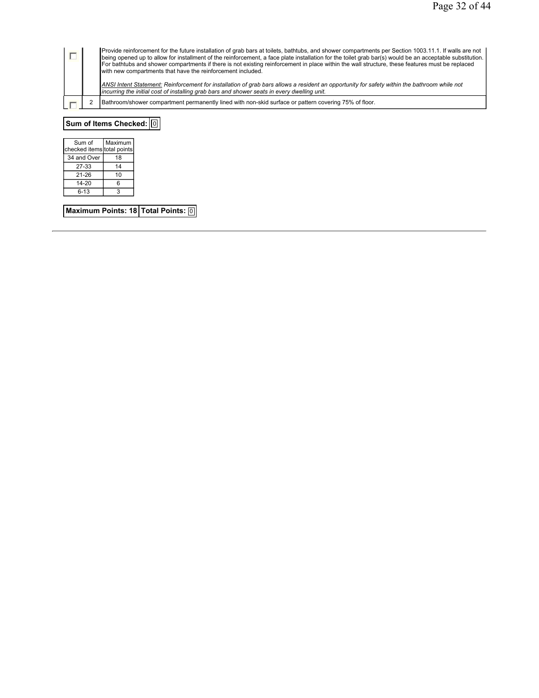|                                                                                                                                                                                                                                             | being opened up to allow for installment of the reinforcement, a face plate installation for the toilet grab bar(s) would be an acceptable substitution.<br>For bathtubs and shower compartments if there is not existing reinforcement in place within the wall structure, these features must be replaced |
|---------------------------------------------------------------------------------------------------------------------------------------------------------------------------------------------------------------------------------------------|-------------------------------------------------------------------------------------------------------------------------------------------------------------------------------------------------------------------------------------------------------------------------------------------------------------|
| ANSI Intent Statement: Reinforcement for installation of grab bars allows a resident an opportunity for safety within the bathroom while not<br>incurring the initial cost of installing grab bars and shower seats in every dwelling unit. |                                                                                                                                                                                                                                                                                                             |
| Bathroom/shower compartment permanently lined with non-skid surface or pattern covering 75% of floor.                                                                                                                                       |                                                                                                                                                                                                                                                                                                             |

**Sum of Items Checked:** 0

| Sum of                     | Maximum |
|----------------------------|---------|
| checked items total points |         |
| 34 and Over                | 18      |
| 27-33                      | 14      |
| 21-26                      | 10      |
| 14-20                      | 6       |
| 6-13                       |         |

**Maximum Points: 18 Total Points: 0**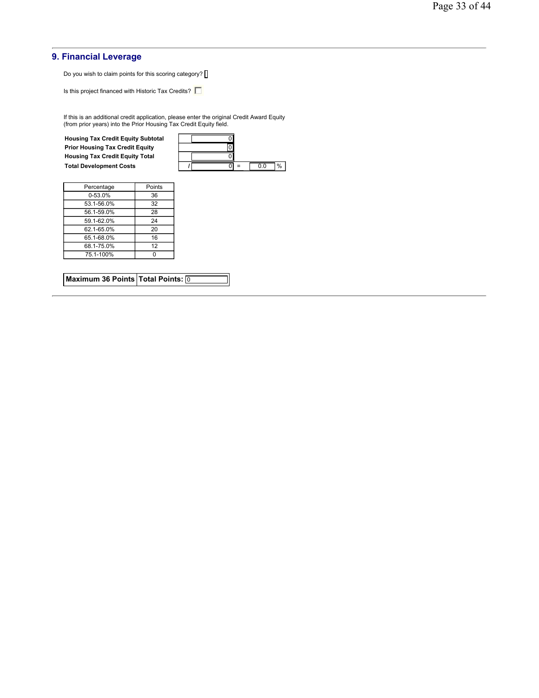## **9. Financial Leverage**

Do you wish to claim points for this scoring category? [

Is this project financed with Historic Tax Credits?  $\Box$ 

If this is an additional credit application, please enter the original Credit Award Equity (from prior years) into the Prior Housing Tax Credit Equity field.

**Housing Tax Credit Equity Subtotal** 0 **Prior Housing Tax Credit Equity Housing Tax Credit Equity Total** 0

| <b>Housing Tax Credit Equity Subtotal</b> |  |     |     |   |
|-------------------------------------------|--|-----|-----|---|
| <b>Prior Housing Tax Credit Equity</b>    |  |     |     |   |
| <b>Housing Tax Credit Equity Total</b>    |  |     |     |   |
| <b>Total Development Costs</b>            |  | $=$ | 0.0 | % |

| Percentage  | Points |
|-------------|--------|
| $0 - 53.0%$ | 36     |
| 53.1-56.0%  | 32     |
| 56.1-59.0%  | 28     |
| 59.1-62.0%  | 24     |
| 62.1-65.0%  | 20     |
| 65.1-68.0%  | 16     |
| 68.1-75.0%  | 12     |
| 75.1-100%   |        |

|  | Maximum 36 Points Total Points: 0 |  |
|--|-----------------------------------|--|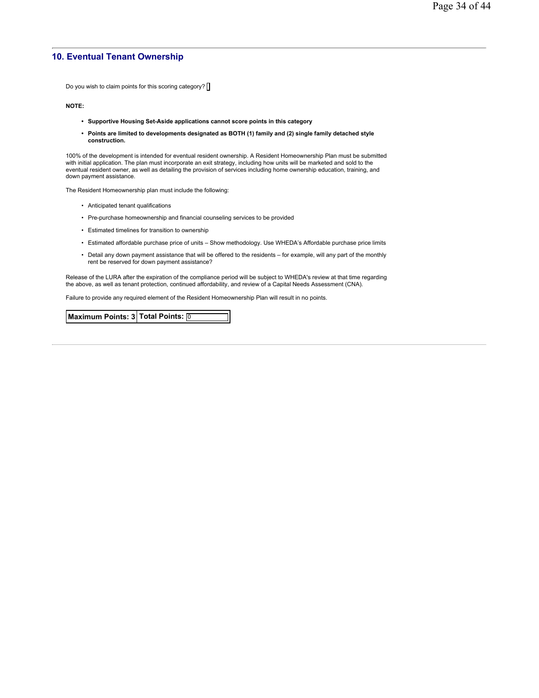## **10. Eventual Tenant Ownership**

Do you wish to claim points for this scoring category?  $\Box$ 

**NOTE:**

- **Supportive Housing Set-Aside applications cannot score points in this category**
- **Points are limited to developments designated as BOTH (1) family and (2) single family detached style construction.**

100% of the development is intended for eventual resident ownership. A Resident Homeownership Plan must be submitted with initial application. The plan must incorporate an exit strategy, including how units will be marketed and sold to the eventual resident owner, as well as detailing the provision of services including home ownership education, training, and down payment assistance.

The Resident Homeownership plan must include the following:

- Anticipated tenant qualifications
- Pre-purchase homeownership and financial counseling services to be provided
- Estimated timelines for transition to ownership
- Estimated affordable purchase price of units Show methodology. Use WHEDA's Affordable purchase price limits
- Detail any down payment assistance that will be offered to the residents for example, will any part of the monthly rent be reserved for down payment assistance?

Release of the LURA after the expiration of the compliance period will be subject to WHEDA's review at that time regarding the above, as well as tenant protection, continued affordability, and review of a Capital Needs Assessment (CNA).

Failure to provide any required element of the Resident Homeownership Plan will result in no points.

**Maximum Points: 3 Total Points:** 0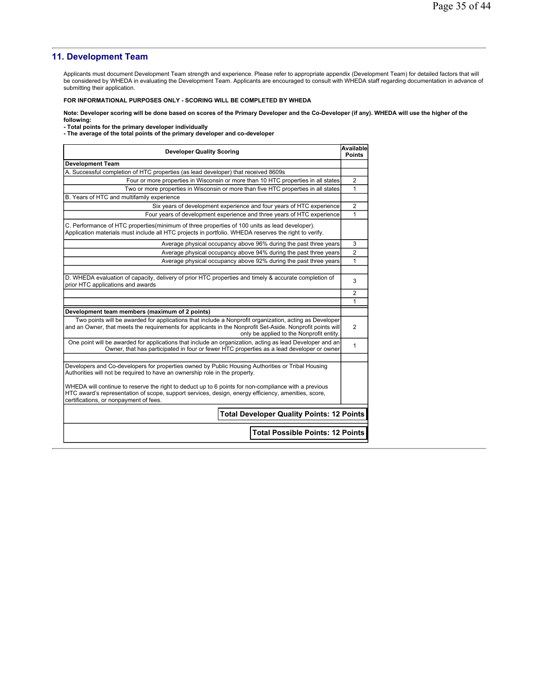## **11. Development Team**

Applicants must document Development Team strength and experience. Please refer to appropriate appendix (Development Team) for detailed factors that will be considered by WHEDA in evaluating the Development Team. Applicants are encouraged to consult with WHEDA staff regarding documentation in advance of submitting their application.

#### **FOR INFORMATIONAL PURPOSES ONLY - SCORING WILL BE COMPLETED BY WHEDA**

**Note: Developer scoring will be done based on scores of the Primary Developer and the Co-Developer (if any). WHEDA will use the higher of the** 

**following: - Total points for the primary developer individually - The average of the total points of the primary developer and co-developer** 

| <b>Developer Quality Scoring</b>                                                                                                                                                                                                                                                                                                                                                                | Available<br><b>Points</b> |
|-------------------------------------------------------------------------------------------------------------------------------------------------------------------------------------------------------------------------------------------------------------------------------------------------------------------------------------------------------------------------------------------------|----------------------------|
| <b>Development Team</b>                                                                                                                                                                                                                                                                                                                                                                         |                            |
| A. Successful completion of HTC properties (as lead developer) that received 8609s                                                                                                                                                                                                                                                                                                              |                            |
| Four or more properties in Wisconsin or more than 10 HTC properties in all states                                                                                                                                                                                                                                                                                                               | $\overline{2}$             |
| Two or more properties in Wisconsin or more than five HTC properties in all states                                                                                                                                                                                                                                                                                                              | 1                          |
| B. Years of HTC and multifamily experience                                                                                                                                                                                                                                                                                                                                                      |                            |
| Six years of development experience and four years of HTC experience                                                                                                                                                                                                                                                                                                                            | $\overline{2}$             |
| Four years of development experience and three years of HTC experience                                                                                                                                                                                                                                                                                                                          | 1                          |
| C. Performance of HTC properties(minimum of three properties of 100 units as lead developer).<br>Application materials must include all HTC projects in portfolio. WHEDA reserves the right to verify.                                                                                                                                                                                          |                            |
| Average physical occupancy above 96% during the past three years                                                                                                                                                                                                                                                                                                                                | 3                          |
| Average physical occupancy above 94% during the past three years                                                                                                                                                                                                                                                                                                                                | $\overline{2}$             |
| Average physical occupancy above 92% during the past three years                                                                                                                                                                                                                                                                                                                                | 1                          |
| D. WHEDA evaluation of capacity, delivery of prior HTC properties and timely & accurate completion of<br>prior HTC applications and awards                                                                                                                                                                                                                                                      | 3                          |
|                                                                                                                                                                                                                                                                                                                                                                                                 | 2                          |
|                                                                                                                                                                                                                                                                                                                                                                                                 | 1                          |
| Development team members (maximum of 2 points)                                                                                                                                                                                                                                                                                                                                                  |                            |
| Two points will be awarded for applications that include a Nonprofit organization, acting as Developer<br>and an Owner, that meets the requirements for applicants in the Nonprofit Set-Aside. Nonprofit points will<br>only be applied to the Nonprofit entity.                                                                                                                                | $\mathfrak{p}$             |
| One point will be awarded for applications that include an organization, acting as lead Developer and an<br>Owner, that has participated in four or fewer HTC properties as a lead developer or owner                                                                                                                                                                                           | 1                          |
| Developers and Co-developers for properties owned by Public Housing Authorities or Tribal Housing<br>Authorities will not be required to have an ownership role in the property.<br>WHEDA will continue to reserve the right to deduct up to 6 points for non-compliance with a previous<br>HTC award's representation of scope, support services, design, energy efficiency, amenities, score, |                            |
| certifications, or nonpayment of fees.<br><b>Total Developer Quality Points: 12 Points</b><br><b>Total Possible Points: 12 Points</b>                                                                                                                                                                                                                                                           |                            |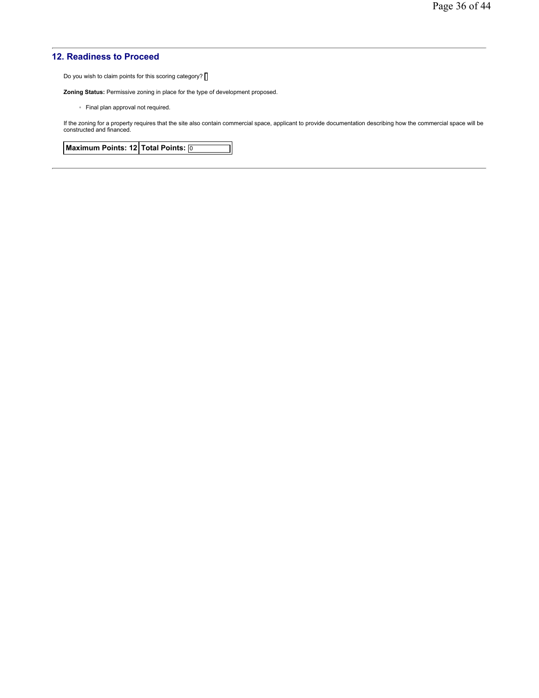## **12. Readiness to Proceed**

Do you wish to claim points for this scoring category? [

**Zoning Status:** Permissive zoning in place for the type of development proposed.

◦ Final plan approval not required.

If the zoning for a property requires that the site also contain commercial space, applicant to provide documentation describing how the commercial space will be constructed and financed.

**Maximum Points: 12 Total Points:** 0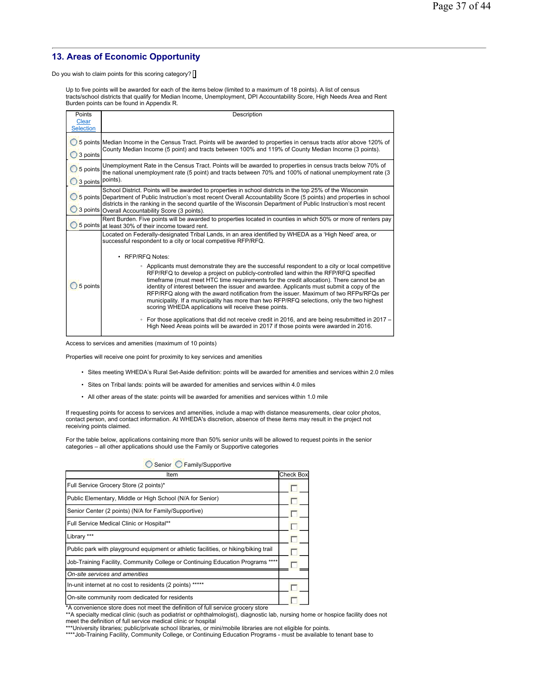# **13. Areas of Economic Opportunity**

Do you wish to claim points for this scoring category?

Up to five points will be awarded for each of the items below (limited to a maximum of 18 points). A list of census<br>tracts/school districts that qualify for Median Income, Unemployment, DPI Accountability Score, High Needs Burden points can be found in Appendix R.

| Points                           | Description                                                                                                                                                                                                                                                                                                                                                                                                                                                                                                                                                                                                                          |
|----------------------------------|--------------------------------------------------------------------------------------------------------------------------------------------------------------------------------------------------------------------------------------------------------------------------------------------------------------------------------------------------------------------------------------------------------------------------------------------------------------------------------------------------------------------------------------------------------------------------------------------------------------------------------------|
| <b>Clear</b><br><b>Selection</b> |                                                                                                                                                                                                                                                                                                                                                                                                                                                                                                                                                                                                                                      |
| 3 points                         | 5 points Median Income in the Census Tract. Points will be awarded to properties in census tracts at/or above 120% of<br>County Median Income (5 point) and tracts between 100% and 119% of County Median Income (3 points).                                                                                                                                                                                                                                                                                                                                                                                                         |
| 5 points<br>3 points             | Unemployment Rate in the Census Tract. Points will be awarded to properties in census tracts below 70% of<br>the national unemployment rate (5 point) and tracts between 70% and 100% of national unemployment rate (3<br>points).                                                                                                                                                                                                                                                                                                                                                                                                   |
|                                  | School District. Points will be awarded to properties in school districts in the top 25% of the Wisconsin<br>5 points Department of Public Instruction's most recent Overall Accountability Score (5 points) and properties in school<br>districts in the ranking in the second quartile of the Wisconsin Department of Public Instruction's most recent<br>3 points Overall Accountability Score (3 points).                                                                                                                                                                                                                        |
|                                  | Rent Burden. Five points will be awarded to properties located in counties in which 50% or more of renters pay<br>5 points at least 30% of their income toward rent.                                                                                                                                                                                                                                                                                                                                                                                                                                                                 |
|                                  | Located on Federally-designated Tribal Lands, in an area identified by WHEDA as a 'High Need' area, or<br>successful respondent to a city or local competitive RFP/RFQ.                                                                                                                                                                                                                                                                                                                                                                                                                                                              |
|                                  | • RFP/RFQ Notes:                                                                                                                                                                                                                                                                                                                                                                                                                                                                                                                                                                                                                     |
| 5 points                         | • Applicants must demonstrate they are the successful respondent to a city or local competitive<br>RFP/RFQ to develop a project on publicly-controlled land within the RFP/RFQ specified<br>timeframe (must meet HTC time requirements for the credit allocation). There cannot be an<br>identity of interest between the issuer and awardee. Applicants must submit a copy of the<br>RFP/RFQ along with the award notification from the issuer. Maximum of two RFPs/RFQs per<br>municipality. If a municipality has more than two RFP/RFQ selections, only the two highest<br>scoring WHEDA applications will receive these points. |
|                                  | • For those applications that did not receive credit in 2016, and are being resubmitted in 2017 –<br>High Need Areas points will be awarded in 2017 if those points were awarded in 2016.                                                                                                                                                                                                                                                                                                                                                                                                                                            |

Access to services and amenities (maximum of 10 points)

Properties will receive one point for proximity to key services and amenities

- Sites meeting WHEDA's Rural Set-Aside definition: points will be awarded for amenities and services within 2.0 miles
- Sites on Tribal lands: points will be awarded for amenities and services within 4.0 miles
- All other areas of the state: points will be awarded for amenities and services within 1.0 mile

If requesting points for access to services and amenities, include a map with distance measurements, clear color photos, contact person, and contact information. At WHEDA's discretion, absence of these items may result in the project not receiving points claimed.

For the table below, applications containing more than 50% senior units will be allowed to request points in the senior categories – all other applications should use the Family or Supportive categories

| Senior Family/Supportive                                                             |                  |
|--------------------------------------------------------------------------------------|------------------|
| Item                                                                                 | <b>Check Box</b> |
| Full Service Grocery Store (2 points)*                                               |                  |
| Public Elementary, Middle or High School (N/A for Senior)                            |                  |
| Senior Center (2 points) (N/A for Family/Supportive)                                 |                  |
| Full Service Medical Clinic or Hospital**                                            |                  |
| Library ***                                                                          |                  |
| Public park with playground equipment or athletic facilities, or hiking/biking trail |                  |
| Job-Training Facility, Community College or Continuing Education Programs ****       |                  |
| On-site services and amenities                                                       |                  |
| In-unit internet at no cost to residents (2 points)                                  |                  |
| On-site community room dedicated for residents                                       |                  |

\*A convenience store does not meet the definition of full service grocery store \*\*A specialty medical clinic (such as podiatrist or ophthalmologist), diagnostic lab, nursing home or hospice facility does not meet the definition of full service medical clinic or hospital \*\*\*University libraries; public/private school libraries, or mini/mobile libraries are not eligible for points.

\*\*\*\*Job-Training Facility, Community College, or Continuing Education Programs - must be available to tenant base to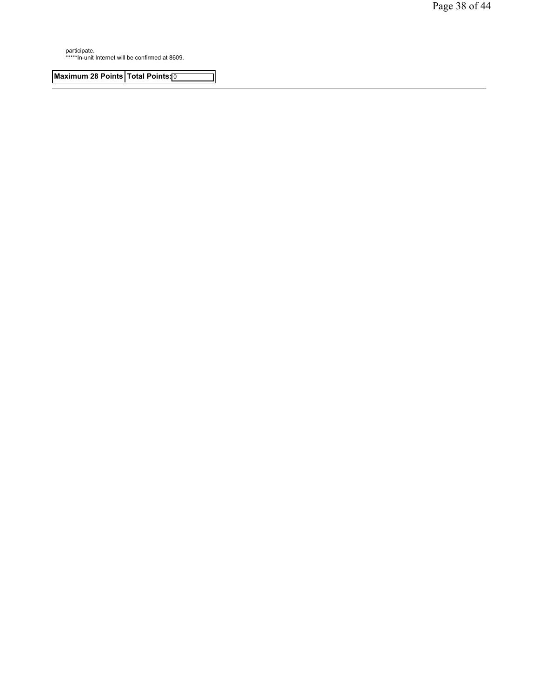participate. \*\*\*\*\*In-unit Internet will be confirmed at 8609.

**Maximum 28 Points Total Points:**<sup>0</sup>

J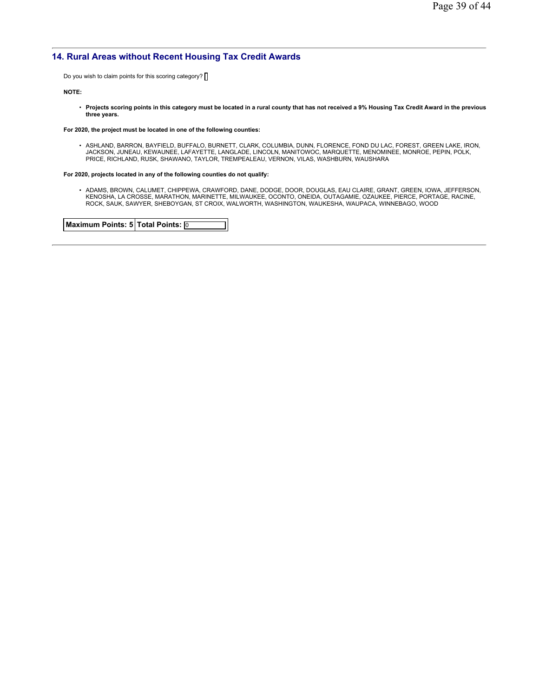## **14. Rural Areas without Recent Housing Tax Credit Awards**

Do you wish to claim points for this scoring category? [

#### **NOTE:**

• **Projects scoring points in this category must be located in a rural county that has not received a 9% Housing Tax Credit Award in the previous three years.**

#### **For 2020, the project must be located in one of the following counties:**

• ASHLAND, BARRON, BAYFIELD, BUFFALO, BURNETT, CLARK, COLUMBIA, DUNN, FLORENCE, FOND DU LAC, FOREST, GREEN LAKE, IRON, JACKSON, JUNEAU, KEWAUNEE, LAFAYETTE, LANGLADE, LINCOLN, MANITOWOC, MARQUETTE, MENOMINEE, MONROE, PEPIN, POLK,<br>PRICE, RICHLAND, RUSK, SHAWANO, TAYLOR, TREMPEALEAU, VERNON, VILAS, WASHBURN, WAUSHARA

#### **For 2020, projects located in any of the following counties do not qualify:**

• ADAMS, BROWN, CALUMET, CHIPPEWA, CRAWFORD, DANE, DODGE, DOOR, DOUGLAS, EAU CLAIRE, GRANT, GREEN, IOWA, JEFFERSON,<br>KENOSHA, LA CROSSE, MARATHON, MARINETTE, MILWAUKEE, OCONTO, ONEIDA, OUTAGAMIE, OZAUKEE, PIERCE, PORTAGE, R

**Maximum Points: 5 Total Points:** 0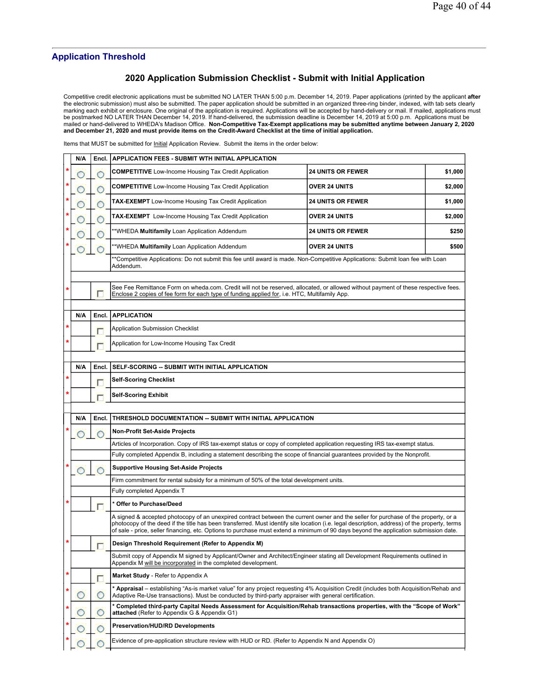## **Application Threshold**

## **2020 Application Submission Checklist - Submit with Initial Application**

Competitive credit electronic applications must be submitted NO LATER THAN 5:00 p.m. December 14, 2019. Paper applications (printed by the applicant after<br>the electronic submission) must also be submitted. The paper applic

Items that MUST be submitted for Initial Application Review. Submit the items in the order below:

|        | N/A |       | Encl.   APPLICATION FEES - SUBMIT WTH INITIAL APPLICATION                                                                                                                                                                                                                                                                                                                                                                   |                          |         |
|--------|-----|-------|-----------------------------------------------------------------------------------------------------------------------------------------------------------------------------------------------------------------------------------------------------------------------------------------------------------------------------------------------------------------------------------------------------------------------------|--------------------------|---------|
| *      |     |       | <b>COMPETITIVE</b> Low-Income Housing Tax Credit Application                                                                                                                                                                                                                                                                                                                                                                | <b>24 UNITS OR FEWER</b> | \$1,000 |
| *      |     |       | <b>COMPETITIVE</b> Low-Income Housing Tax Credit Application                                                                                                                                                                                                                                                                                                                                                                | <b>OVER 24 UNITS</b>     | \$2,000 |
|        |     |       | <b>TAX-EXEMPT</b> Low-Income Housing Tax Credit Application                                                                                                                                                                                                                                                                                                                                                                 | <b>24 UNITS OR FEWER</b> | \$1,000 |
|        |     |       | <b>TAX-EXEMPT</b> Low-Income Housing Tax Credit Application                                                                                                                                                                                                                                                                                                                                                                 | <b>OVER 24 UNITS</b>     | \$2,000 |
|        |     |       | **WHEDA Multifamily Loan Application Addendum                                                                                                                                                                                                                                                                                                                                                                               | <b>24 UNITS OR FEWER</b> | \$250   |
|        |     |       | **WHEDA Multifamily Loan Application Addendum                                                                                                                                                                                                                                                                                                                                                                               | <b>OVER 24 UNITS</b>     | \$500   |
|        |     |       | **Competitive Applications: Do not submit this fee until award is made. Non-Competitive Applications: Submit loan fee with Loan<br>Addendum.                                                                                                                                                                                                                                                                                |                          |         |
|        |     |       |                                                                                                                                                                                                                                                                                                                                                                                                                             |                          |         |
| *      |     | Г     | See Fee Remittance Form on wheda.com. Credit will not be reserved, allocated, or allowed without payment of these respective fees.<br>Enclose 2 copies of fee form for each type of funding applied for, i.e. HTC, Multifamily App.                                                                                                                                                                                         |                          |         |
|        | N/A | Encl. | <b>APPLICATION</b>                                                                                                                                                                                                                                                                                                                                                                                                          |                          |         |
| *      |     |       | <b>Application Submission Checklist</b>                                                                                                                                                                                                                                                                                                                                                                                     |                          |         |
| *      |     |       | Application for Low-Income Housing Tax Credit                                                                                                                                                                                                                                                                                                                                                                               |                          |         |
|        |     |       |                                                                                                                                                                                                                                                                                                                                                                                                                             |                          |         |
|        | N/A | Encl. | SELF-SCORING -- SUBMIT WITH INITIAL APPLICATION                                                                                                                                                                                                                                                                                                                                                                             |                          |         |
| *      |     |       | <b>Self-Scoring Checklist</b>                                                                                                                                                                                                                                                                                                                                                                                               |                          |         |
| *      |     |       | Self-Scoring Exhibit                                                                                                                                                                                                                                                                                                                                                                                                        |                          |         |
|        |     |       |                                                                                                                                                                                                                                                                                                                                                                                                                             |                          |         |
|        |     |       |                                                                                                                                                                                                                                                                                                                                                                                                                             |                          |         |
|        | N/A | Encl. | THRESHOLD DOCUMENTATION -- SUBMIT WITH INITIAL APPLICATION                                                                                                                                                                                                                                                                                                                                                                  |                          |         |
|        |     |       | <b>Non-Profit Set-Aside Projects</b>                                                                                                                                                                                                                                                                                                                                                                                        |                          |         |
|        |     |       | Articles of Incorporation. Copy of IRS tax-exempt status or copy of completed application requesting IRS tax-exempt status.                                                                                                                                                                                                                                                                                                 |                          |         |
|        |     |       | Fully completed Appendix B, including a statement describing the scope of financial guarantees provided by the Nonprofit.                                                                                                                                                                                                                                                                                                   |                          |         |
|        |     |       | <b>Supportive Housing Set-Aside Projects</b>                                                                                                                                                                                                                                                                                                                                                                                |                          |         |
|        |     |       | Firm commitment for rental subsidy for a minimum of 50% of the total development units.                                                                                                                                                                                                                                                                                                                                     |                          |         |
|        |     |       | Fully completed Appendix T                                                                                                                                                                                                                                                                                                                                                                                                  |                          |         |
| *      |     |       | * Offer to Purchase/Deed                                                                                                                                                                                                                                                                                                                                                                                                    |                          |         |
|        |     |       | A signed & accepted photocopy of an unexpired contract between the current owner and the seller for purchase of the property, or a<br>photocopy of the deed if the title has been transferred. Must identify site location (i.e. legal description, address) of the property, terms<br>of sale - price, seller financing, etc. Options to purchase must extend a minimum of 90 days beyond the application submission date. |                          |         |
| *      |     |       | Design Threshold Requirement (Refer to Appendix M)                                                                                                                                                                                                                                                                                                                                                                          |                          |         |
|        |     |       | Submit copy of Appendix M signed by Applicant/Owner and Architect/Engineer stating all Development Requirements outlined in<br>Appendix M will be incorporated in the completed development.                                                                                                                                                                                                                                |                          |         |
| $\ast$ |     |       | Market Study - Refer to Appendix A                                                                                                                                                                                                                                                                                                                                                                                          |                          |         |
| *      |     |       | * Appraisal – establishing "As-is market value" for any project requesting 4% Acquisition Credit (includes both Acquisition/Rehab and<br>Adaptive Re-Use transactions). Must be conducted by third-party appraiser with general certification.                                                                                                                                                                              |                          |         |
|        |     | O     | * Completed third-party Capital Needs Assessment for Acquisition/Rehab transactions properties, with the "Scope of Work"<br>attached (Refer to Appendix G & Appendix G1)                                                                                                                                                                                                                                                    |                          |         |
|        |     |       | <b>Preservation/HUD/RD Developments</b>                                                                                                                                                                                                                                                                                                                                                                                     |                          |         |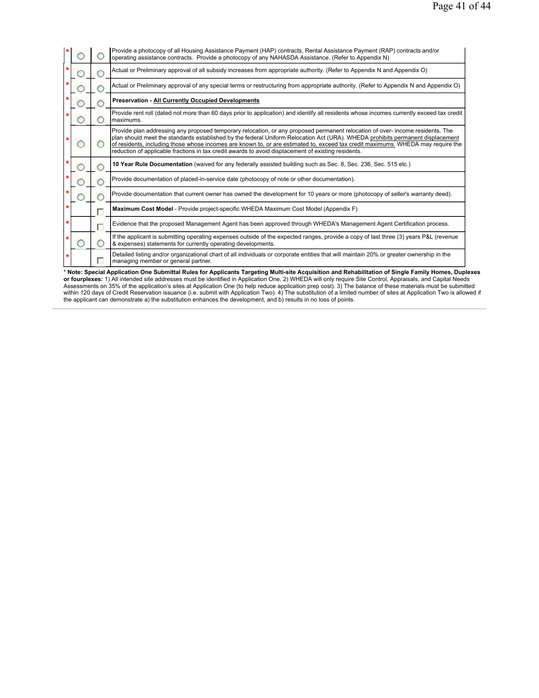|  | Provide a photocopy of all Housing Assistance Payment (HAP) contracts, Rental Assistance Payment (RAP) contracts and/or<br>operating assistance contracts. Provide a photocopy of any NAHASDA Assistance. (Refer to Appendix N)                                                                                                                                                                                                                                                                             |
|--|-------------------------------------------------------------------------------------------------------------------------------------------------------------------------------------------------------------------------------------------------------------------------------------------------------------------------------------------------------------------------------------------------------------------------------------------------------------------------------------------------------------|
|  | Actual or Preliminary approval of all subsidy increases from appropriate authority. (Refer to Appendix N and Appendix O)                                                                                                                                                                                                                                                                                                                                                                                    |
|  | Actual or Preliminary approval of any special terms or restructuring from appropriate authority. (Refer to Appendix N and Appendix O)                                                                                                                                                                                                                                                                                                                                                                       |
|  | <b>Preservation - All Currently Occupied Developments</b>                                                                                                                                                                                                                                                                                                                                                                                                                                                   |
|  | Provide rent roll (dated not more than 60 days prior to application) and identify all residents whose incomes currently exceed tax credit<br>maximums.                                                                                                                                                                                                                                                                                                                                                      |
|  | Provide plan addressing any proposed temporary relocation, or any proposed permanent relocation of over- income residents. The<br>plan should meet the standards established by the federal Uniform Relocation Act (URA). WHEDA prohibits permanent displacement<br>of residents, including those whose incomes are known to, or are estimated to, exceed tax credit maximums. WHEDA may require the<br>reduction of applicable fractions in tax credit awards to avoid displacement of existing residents. |
|  | 10 Year Rule Documentation (waived for any federally assisted building such as Sec. 8, Sec. 236, Sec. 515 etc.)                                                                                                                                                                                                                                                                                                                                                                                             |
|  | Provide documentation of placed-in-service date (photocopy of note or other documentation).                                                                                                                                                                                                                                                                                                                                                                                                                 |
|  | Provide documentation that current owner has owned the development for 10 years or more (photocopy of seller's warranty deed).                                                                                                                                                                                                                                                                                                                                                                              |
|  | Maximum Cost Model - Provide project-specific WHEDA Maximum Cost Model (Appendix F)                                                                                                                                                                                                                                                                                                                                                                                                                         |
|  | Evidence that the proposed Management Agent has been approved through WHEDA's Management Agent Certification process.                                                                                                                                                                                                                                                                                                                                                                                       |
|  | If the applicant is submitting operating expenses outside of the expected ranges, provide a copy of last three (3) years P&L (revenue<br>& expenses) statements for currently operating developments.                                                                                                                                                                                                                                                                                                       |
|  | Detailed listing and/or organizational chart of all individuals or corporate entities that will maintain 20% or greater ownership in the<br>managing member or general partner.                                                                                                                                                                                                                                                                                                                             |

\* Note: Special Application One Submittal Rules for Applicants Targeting Multi-site Acquisition and Rehabilitation of Single Family Homes, Duplexes<br>or fourplexes: 1) All intended site addresses must be identified in Applic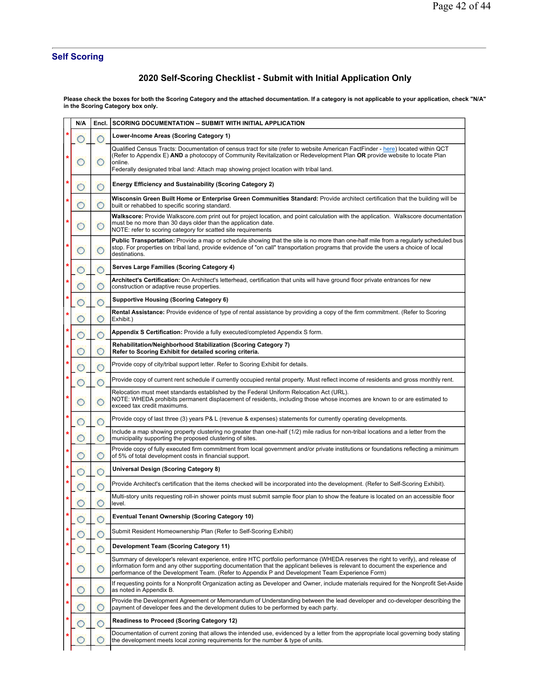# **Self Scoring**

# **2020 Self-Scoring Checklist - Submit with Initial Application Only**

**Please check the boxes for both the Scoring Category and the attached documentation. If a category is not applicable to your application, check "N/A" in the Scoring Category box only.**

|   | N/A | Encl. | <b>SCORING DOCUMENTATION -- SUBMIT WITH INITIAL APPLICATION</b>                                                                                                                                                                                                                                                                                                        |
|---|-----|-------|------------------------------------------------------------------------------------------------------------------------------------------------------------------------------------------------------------------------------------------------------------------------------------------------------------------------------------------------------------------------|
| × |     |       | Lower-Income Areas (Scoring Category 1)                                                                                                                                                                                                                                                                                                                                |
|   |     | C     | Qualified Census Tracts: Documentation of census tract for site (refer to website American FactFinder - here) located within QCT<br>(Refer to Appendix E) AND a photocopy of Community Revitalization or Redevelopment Plan OR provide website to locate Plan<br>online.                                                                                               |
|   |     |       | Federally designated tribal land: Attach map showing project location with tribal land.                                                                                                                                                                                                                                                                                |
|   |     |       | <b>Energy Efficiency and Sustainability (Scoring Category 2)</b>                                                                                                                                                                                                                                                                                                       |
|   |     | O     | Wisconsin Green Built Home or Enterprise Green Communities Standard: Provide architect certification that the building will be<br>built or rehabbed to specific scoring standard.                                                                                                                                                                                      |
|   |     | O     | Walkscore: Provide Walkscore.com print out for project location, and point calculation with the application. Walkscore documentation<br>must be no more than 30 days older than the application date.<br>NOTE: refer to scoring category for scatted site requirements                                                                                                 |
|   |     |       | Public Transportation: Provide a map or schedule showing that the site is no more than one-half mile from a regularly scheduled bus<br>stop. For properties on tribal land, provide evidence of "on call" transportation programs that provide the users a choice of local<br>destinations.                                                                            |
|   |     |       | Serves Large Families (Scoring Category 4)                                                                                                                                                                                                                                                                                                                             |
|   |     |       | Architect's Certification: On Architect's letterhead, certification that units will have ground floor private entrances for new<br>construction or adaptive reuse properties.                                                                                                                                                                                          |
|   |     |       | Supportive Housing (Scoring Category 6)                                                                                                                                                                                                                                                                                                                                |
|   |     |       | Rental Assistance: Provide evidence of type of rental assistance by providing a copy of the firm commitment. (Refer to Scoring<br>Exhibit.)                                                                                                                                                                                                                            |
|   |     |       | Appendix S Certification: Provide a fully executed/completed Appendix S form.                                                                                                                                                                                                                                                                                          |
|   |     |       | Rehabilitation/Neighborhood Stabilization (Scoring Category 7)<br>Refer to Scoring Exhibit for detailed scoring criteria.                                                                                                                                                                                                                                              |
|   |     |       | Provide copy of city/tribal support letter. Refer to Scoring Exhibit for details.                                                                                                                                                                                                                                                                                      |
|   |     |       | Provide copy of current rent schedule if currently occupied rental property. Must reflect income of residents and gross monthly rent.                                                                                                                                                                                                                                  |
|   |     |       | Relocation must meet standards established by the Federal Uniform Relocation Act (URL).<br>NOTE: WHEDA prohibits permanent displacement of residents, including those whose incomes are known to or are estimated to<br>exceed tax credit maximums.                                                                                                                    |
|   |     |       | Provide copy of last three (3) years P& L (revenue & expenses) statements for currently operating developments.                                                                                                                                                                                                                                                        |
|   |     |       | Include a map showing property clustering no greater than one-half (1/2) mile radius for non-tribal locations and a letter from the<br>municipality supporting the proposed clustering of sites.                                                                                                                                                                       |
|   |     | 0     | Provide copy of fully executed firm commitment from local government and/or private institutions or foundations reflecting a minimum<br>of 5% of total development costs in financial support.                                                                                                                                                                         |
|   |     |       | Universal Design (Scoring Category 8)                                                                                                                                                                                                                                                                                                                                  |
|   |     |       | Provide Architect's certification that the items checked will be incorporated into the development. (Refer to Self-Scoring Exhibit).                                                                                                                                                                                                                                   |
|   |     |       | Multi-story units requesting roll-in shower points must submit sample floor plan to show the feature is located on an accessible floor<br>level.                                                                                                                                                                                                                       |
|   |     |       | <b>Eventual Tenant Ownership (Scoring Category 10)</b>                                                                                                                                                                                                                                                                                                                 |
|   |     |       | Submit Resident Homeownership Plan (Refer to Self-Scoring Exhibit)                                                                                                                                                                                                                                                                                                     |
|   |     |       | <b>Development Team (Scoring Category 11)</b>                                                                                                                                                                                                                                                                                                                          |
|   |     | C     | Summary of developer's relevant experience, entire HTC portfolio performance (WHEDA reserves the right to verify), and release of<br>information form and any other supporting documentation that the applicant believes is relevant to document the experience and<br>performance of the Development Team. (Refer to Appendix P and Development Team Experience Form) |
|   |     | œ     | If requesting points for a Nonprofit Organization acting as Developer and Owner, include materials required for the Nonprofit Set-Aside<br>as noted in Appendix B.                                                                                                                                                                                                     |
|   |     | C     | Provide the Development Agreement or Memorandum of Understanding between the lead developer and co-developer describing the<br>payment of developer fees and the development duties to be performed by each party.                                                                                                                                                     |
|   |     |       | <b>Readiness to Proceed (Scoring Category 12)</b>                                                                                                                                                                                                                                                                                                                      |
|   |     |       | Documentation of current zoning that allows the intended use, evidenced by a letter from the appropriate local governing body stating<br>the development meets local zoning requirements for the number & type of units.                                                                                                                                               |
|   |     |       |                                                                                                                                                                                                                                                                                                                                                                        |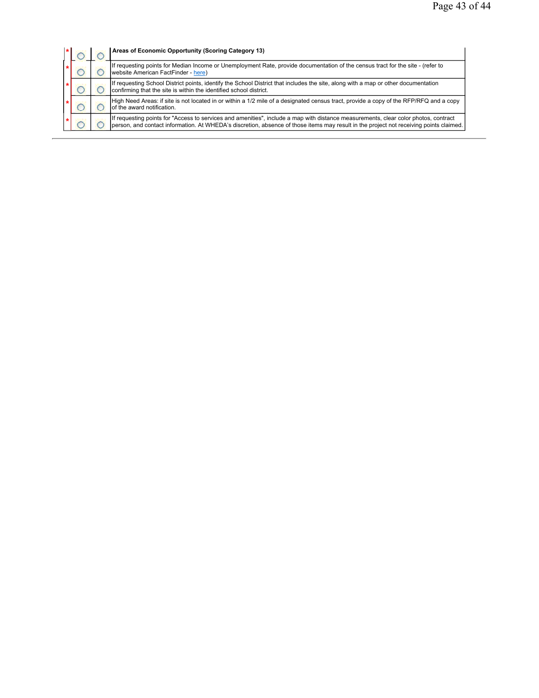| $\star$ |  | Areas of Economic Opportunity (Scoring Category 13)                                                                                                                                                                                                                           |
|---------|--|-------------------------------------------------------------------------------------------------------------------------------------------------------------------------------------------------------------------------------------------------------------------------------|
|         |  | If requesting points for Median Income or Unemployment Rate, provide documentation of the census tract for the site - (refer to<br>website American FactFinder - here)                                                                                                        |
|         |  | If requesting School District points, identify the School District that includes the site, along with a map or other documentation<br>confirming that the site is within the identified school district.                                                                      |
|         |  | High Need Areas: if site is not located in or within a 1/2 mile of a designated census tract, provide a copy of the RFP/RFQ and a copy<br>of the award notification.                                                                                                          |
|         |  | If requesting points for "Access to services and amenities", include a map with distance measurements, clear color photos, contract<br>person, and contact information. At WHEDA's discretion, absence of those items may result in the project not receiving points claimed. |